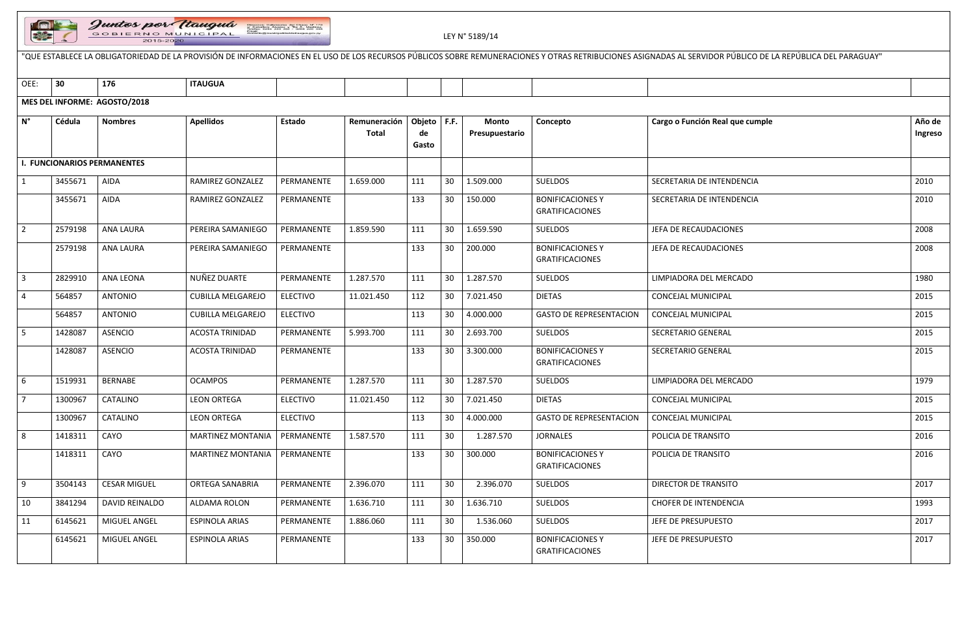

|                |         | Juntos por Wauguá<br>Direccion: Defensores del Chaco Nº 170<br>o Caballero Alvarez y Tte A. Martínez<br>Telefax: 0294 220 252 - 0294 220 358<br>GOBIERNO MUNICIPAL<br>LEY N° 5189/14<br>2015-2020<br>"QUE ESTABLECE LA OBLIGATORIEDAD DE LA PROVISIÓN DE INFORMACIONES EN EL USO DE LOS RECURSOS PÚBLICOS SOBRE REMUNERACIONES Y OTRAS RETRIBUCIONES ASIGNADAS AL SERVIDOR PÚBLICO DE LA REPÚBLICA DEL PARAGUAY" |                          |                 |                              |                              |                 |                                |                                                   |                                 |                   |  |  |  |
|----------------|---------|------------------------------------------------------------------------------------------------------------------------------------------------------------------------------------------------------------------------------------------------------------------------------------------------------------------------------------------------------------------------------------------------------------------|--------------------------|-----------------|------------------------------|------------------------------|-----------------|--------------------------------|---------------------------------------------------|---------------------------------|-------------------|--|--|--|
|                |         |                                                                                                                                                                                                                                                                                                                                                                                                                  |                          |                 |                              |                              |                 |                                |                                                   |                                 |                   |  |  |  |
| OEE:           | 30      | 176                                                                                                                                                                                                                                                                                                                                                                                                              | <b>ITAUGUA</b>           |                 |                              |                              |                 |                                |                                                   |                                 |                   |  |  |  |
|                |         | MES DEL INFORME: AGOSTO/2018                                                                                                                                                                                                                                                                                                                                                                                     |                          |                 |                              |                              |                 |                                |                                                   |                                 |                   |  |  |  |
| $N^{\circ}$    | Cédula  | <b>Nombres</b>                                                                                                                                                                                                                                                                                                                                                                                                   | <b>Apellidos</b>         | Estado          | Remuneración<br><b>Total</b> | Objeto   F.F.<br>de<br>Gasto |                 | <b>Monto</b><br>Presupuestario | Concepto                                          | Cargo o Función Real que cumple | Año de<br>Ingreso |  |  |  |
|                |         | <b>I. FUNCIONARIOS PERMANENTES</b>                                                                                                                                                                                                                                                                                                                                                                               |                          |                 |                              |                              |                 |                                |                                                   |                                 |                   |  |  |  |
| $\mathbf{1}$   | 3455671 | AIDA                                                                                                                                                                                                                                                                                                                                                                                                             | RAMIREZ GONZALEZ         | PERMANENTE      | 1.659.000                    | 111                          | 30              | 1.509.000                      | <b>SUELDOS</b>                                    | SECRETARIA DE INTENDENCIA       | 2010              |  |  |  |
|                | 3455671 | AIDA                                                                                                                                                                                                                                                                                                                                                                                                             | RAMIREZ GONZALEZ         | PERMANENTE      |                              | 133                          | 30              | 150.000                        | <b>BONIFICACIONES Y</b><br><b>GRATIFICACIONES</b> | SECRETARIA DE INTENDENCIA       | 2010              |  |  |  |
| $\overline{2}$ | 2579198 | <b>ANA LAURA</b>                                                                                                                                                                                                                                                                                                                                                                                                 | PEREIRA SAMANIEGO        | PERMANENTE      | 1.859.590                    | 111                          | 30              | 1.659.590                      | <b>SUELDOS</b>                                    | JEFA DE RECAUDACIONES           | 2008              |  |  |  |
|                | 2579198 | <b>ANA LAURA</b>                                                                                                                                                                                                                                                                                                                                                                                                 | PEREIRA SAMANIEGO        | PERMANENTE      |                              | 133                          | 30              | 200.000                        | <b>BONIFICACIONES Y</b><br><b>GRATIFICACIONES</b> | JEFA DE RECAUDACIONES           | 2008              |  |  |  |
| $\overline{3}$ | 2829910 | <b>ANA LEONA</b>                                                                                                                                                                                                                                                                                                                                                                                                 | NUÑEZ DUARTE             | PERMANENTE      | 1.287.570                    | 111                          | 30              | 1.287.570                      | <b>SUELDOS</b>                                    | LIMPIADORA DEL MERCADO          | 1980              |  |  |  |
| $\overline{a}$ | 564857  | <b>ANTONIO</b>                                                                                                                                                                                                                                                                                                                                                                                                   | <b>CUBILLA MELGAREJO</b> | <b>ELECTIVO</b> | 11.021.450                   | 112                          | 30              | 7.021.450                      | <b>DIETAS</b>                                     | CONCEJAL MUNICIPAL              | 2015              |  |  |  |
|                | 564857  | <b>ANTONIO</b>                                                                                                                                                                                                                                                                                                                                                                                                   | <b>CUBILLA MELGAREJO</b> | <b>ELECTIVO</b> |                              | 113                          | 30              | 4.000.000                      | <b>GASTO DE REPRESENTACION</b>                    | CONCEJAL MUNICIPAL              | 2015              |  |  |  |
| 5              | 1428087 | <b>ASENCIO</b>                                                                                                                                                                                                                                                                                                                                                                                                   | <b>ACOSTA TRINIDAD</b>   | PERMANENTE      | 5.993.700                    | 111                          | 30              | 2.693.700                      | <b>SUELDOS</b>                                    | SECRETARIO GENERAL              | 2015              |  |  |  |
|                | 1428087 | <b>ASENCIO</b>                                                                                                                                                                                                                                                                                                                                                                                                   | <b>ACOSTA TRINIDAD</b>   | PERMANENTE      |                              | 133                          | 30              | 3.300.000                      | <b>BONIFICACIONES Y</b><br><b>GRATIFICACIONES</b> | SECRETARIO GENERAL              | 2015              |  |  |  |
| 6              | 1519931 | <b>BERNABE</b>                                                                                                                                                                                                                                                                                                                                                                                                   | <b>OCAMPOS</b>           | PERMANENTE      | 1.287.570                    | 111                          | 30              | 1.287.570                      | <b>SUELDOS</b>                                    | LIMPIADORA DEL MERCADO          | 1979              |  |  |  |
| $\overline{7}$ | 1300967 | CATALINO                                                                                                                                                                                                                                                                                                                                                                                                         | <b>LEON ORTEGA</b>       | <b>ELECTIVO</b> | 11.021.450                   | 112                          | 30              | 7.021.450                      | <b>DIETAS</b>                                     | CONCEJAL MUNICIPAL              | 2015              |  |  |  |
|                | 1300967 | CATALINO                                                                                                                                                                                                                                                                                                                                                                                                         | <b>LEON ORTEGA</b>       | <b>ELECTIVO</b> |                              | 113                          | 30              | 4.000.000                      | <b>GASTO DE REPRESENTACION</b>                    | CONCEJAL MUNICIPAL              | 2015              |  |  |  |
| 8              | 1418311 | CAYO                                                                                                                                                                                                                                                                                                                                                                                                             | <b>MARTINEZ MONTANIA</b> | PERMANENTE      | 1.587.570                    | 111                          | 30              | 1.287.570                      | <b>JORNALES</b>                                   | POLICIA DE TRANSITO             | 2016              |  |  |  |
|                | 1418311 | CAYO                                                                                                                                                                                                                                                                                                                                                                                                             | <b>MARTINEZ MONTANIA</b> | PERMANENTE      |                              | 133                          | 30              | 300.000                        | <b>BONIFICACIONES Y</b><br><b>GRATIFICACIONES</b> | POLICIA DE TRANSITO             | 2016              |  |  |  |
| 9              | 3504143 | <b>CESAR MIGUEL</b>                                                                                                                                                                                                                                                                                                                                                                                              | ORTEGA SANABRIA          | PERMANENTE      | 2.396.070                    | 111                          | 30              | 2.396.070                      | <b>SUELDOS</b>                                    | DIRECTOR DE TRANSITO            | 2017              |  |  |  |
| 10             | 3841294 | DAVID REINALDO                                                                                                                                                                                                                                                                                                                                                                                                   | ALDAMA ROLON             | PERMANENTE      | 1.636.710                    | 111                          | 30              | 1.636.710                      | <b>SUELDOS</b>                                    | <b>CHOFER DE INTENDENCIA</b>    | 1993              |  |  |  |
| 11             | 6145621 | MIGUEL ANGEL                                                                                                                                                                                                                                                                                                                                                                                                     | <b>ESPINOLA ARIAS</b>    | PERMANENTE      | 1.886.060                    | 111                          | 30              | 1.536.060                      | SUELDOS                                           | JEFE DE PRESUPUESTO             | 2017              |  |  |  |
|                | 6145621 | MIGUEL ANGEL                                                                                                                                                                                                                                                                                                                                                                                                     | <b>ESPINOLA ARIAS</b>    | PERMANENTE      |                              | 133                          | 30 <sup>°</sup> | 350.000                        | <b>BONIFICACIONES Y</b><br><b>GRATIFICACIONES</b> | JEFE DE PRESUPUESTO             | 2017              |  |  |  |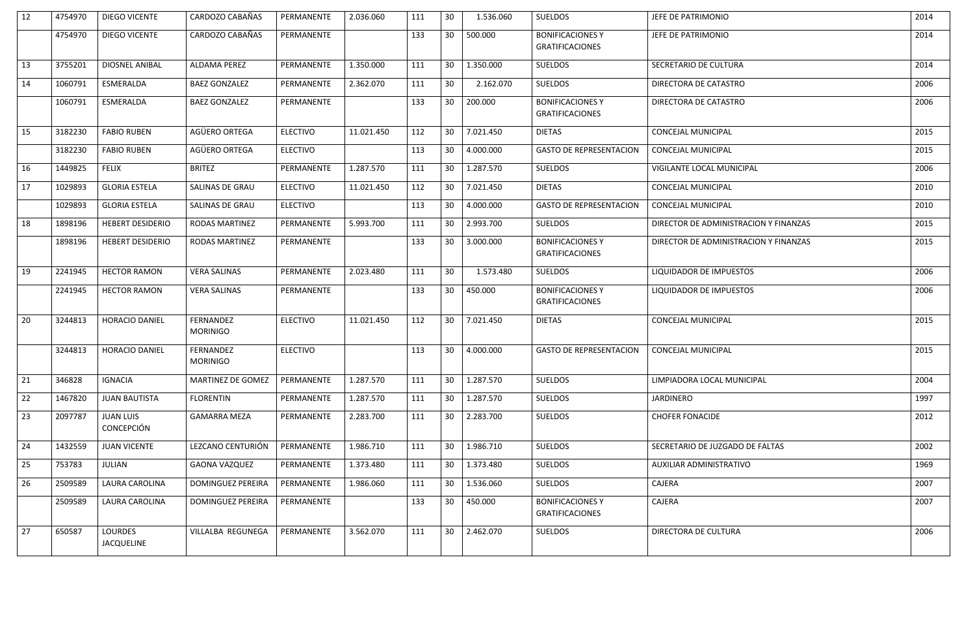| 12 | 4754970 | DIEGO VICENTE                         | CARDOZO CABAÑAS              | PERMANENTE      | 2.036.060  | 111 | 30 | 1.536.060 | <b>SUELDOS</b>                                    | JEFE DE PATRIMONIO                    | 2014 |
|----|---------|---------------------------------------|------------------------------|-----------------|------------|-----|----|-----------|---------------------------------------------------|---------------------------------------|------|
|    | 4754970 | DIEGO VICENTE                         | CARDOZO CABAÑAS              | PERMANENTE      |            | 133 | 30 | 500.000   | <b>BONIFICACIONES Y</b><br><b>GRATIFICACIONES</b> | JEFE DE PATRIMONIO                    | 2014 |
| 13 | 3755201 | DIOSNEL ANIBAL                        | ALDAMA PEREZ                 | PERMANENTE      | 1.350.000  | 111 | 30 | 1.350.000 | <b>SUELDOS</b>                                    | SECRETARIO DE CULTURA                 | 2014 |
| 14 | 1060791 | ESMERALDA                             | <b>BAEZ GONZALEZ</b>         | PERMANENTE      | 2.362.070  | 111 | 30 | 2.162.070 | <b>SUELDOS</b>                                    | DIRECTORA DE CATASTRO                 | 2006 |
|    | 1060791 | ESMERALDA                             | <b>BAEZ GONZALEZ</b>         | PERMANENTE      |            | 133 | 30 | 200.000   | <b>BONIFICACIONES Y</b><br><b>GRATIFICACIONES</b> | DIRECTORA DE CATASTRO                 | 2006 |
| 15 | 3182230 | <b>FABIO RUBEN</b>                    | AGÜERO ORTEGA                | <b>ELECTIVO</b> | 11.021.450 | 112 | 30 | 7.021.450 | <b>DIETAS</b>                                     | <b>CONCEJAL MUNICIPAL</b>             | 2015 |
|    | 3182230 | <b>FABIO RUBEN</b>                    | AGÜERO ORTEGA                | <b>ELECTIVO</b> |            | 113 | 30 | 4.000.000 | <b>GASTO DE REPRESENTACION</b>                    | CONCEJAL MUNICIPAL                    | 2015 |
| 16 | 1449825 | <b>FELIX</b>                          | <b>BRITEZ</b>                | PERMANENTE      | 1.287.570  | 111 | 30 | 1.287.570 | <b>SUELDOS</b>                                    | VIGILANTE LOCAL MUNICIPAL             | 2006 |
| 17 | 1029893 | <b>GLORIA ESTELA</b>                  | SALINAS DE GRAU              | <b>ELECTIVO</b> | 11.021.450 | 112 | 30 | 7.021.450 | <b>DIETAS</b>                                     | CONCEJAL MUNICIPAL                    | 2010 |
|    | 1029893 | <b>GLORIA ESTELA</b>                  | SALINAS DE GRAU              | <b>ELECTIVO</b> |            | 113 | 30 | 4.000.000 | <b>GASTO DE REPRESENTACION</b>                    | CONCEJAL MUNICIPAL                    | 2010 |
| 18 | 1898196 | <b>HEBERT DESIDERIO</b>               | <b>RODAS MARTINEZ</b>        | PERMANENTE      | 5.993.700  | 111 | 30 | 2.993.700 | <b>SUELDOS</b>                                    | DIRECTOR DE ADMINISTRACION Y FINANZAS | 2015 |
|    | 1898196 | <b>HEBERT DESIDERIO</b>               | <b>RODAS MARTINEZ</b>        | PERMANENTE      |            | 133 | 30 | 3.000.000 | <b>BONIFICACIONES Y</b><br><b>GRATIFICACIONES</b> | DIRECTOR DE ADMINISTRACION Y FINANZAS | 2015 |
| 19 | 2241945 | <b>HECTOR RAMON</b>                   | <b>VERA SALINAS</b>          | PERMANENTE      | 2.023.480  | 111 | 30 | 1.573.480 | <b>SUELDOS</b>                                    | LIQUIDADOR DE IMPUESTOS               | 2006 |
|    | 2241945 | <b>HECTOR RAMON</b>                   | <b>VERA SALINAS</b>          | PERMANENTE      |            | 133 | 30 | 450.000   | <b>BONIFICACIONES Y</b><br><b>GRATIFICACIONES</b> | LIQUIDADOR DE IMPUESTOS               | 2006 |
| 20 | 3244813 | HORACIO DANIEL                        | FERNANDEZ<br><b>MORINIGO</b> | <b>ELECTIVO</b> | 11.021.450 | 112 | 30 | 7.021.450 | <b>DIETAS</b>                                     | <b>CONCEJAL MUNICIPAL</b>             | 2015 |
|    | 3244813 | <b>HORACIO DANIEL</b>                 | FERNANDEZ<br><b>MORINIGO</b> | <b>ELECTIVO</b> |            | 113 | 30 | 4.000.000 | <b>GASTO DE REPRESENTACION</b>                    | CONCEJAL MUNICIPAL                    | 2015 |
| 21 | 346828  | <b>IGNACIA</b>                        | <b>MARTINEZ DE GOMEZ</b>     | PERMANENTE      | 1.287.570  | 111 | 30 | 1.287.570 | <b>SUELDOS</b>                                    | LIMPIADORA LOCAL MUNICIPAL            | 2004 |
| 22 | 1467820 | <b>JUAN BAUTISTA</b>                  | <b>FLORENTIN</b>             | PERMANENTE      | 1.287.570  | 111 | 30 | 1.287.570 | SUELDOS                                           | <b>JARDINERO</b>                      | 1997 |
| 23 | 2097787 | <b>JUAN LUIS</b><br><b>CONCEPCIÓN</b> | <b>GAMARRA MEZA</b>          | PERMANENTE      | 2.283.700  | 111 | 30 | 2.283.700 | <b>SUELDOS</b>                                    | <b>CHOFER FONACIDE</b>                | 2012 |
| 24 | 1432559 | <b>JUAN VICENTE</b>                   | LEZCANO CENTURIÓN            | PERMANENTE      | 1.986.710  | 111 | 30 | 1.986.710 | <b>SUELDOS</b>                                    | SECRETARIO DE JUZGADO DE FALTAS       | 2002 |
| 25 | 753783  | <b>JULIAN</b>                         | <b>GAONA VAZQUEZ</b>         | PERMANENTE      | 1.373.480  | 111 | 30 | 1.373.480 | <b>SUELDOS</b>                                    | AUXILIAR ADMINISTRATIVO               | 1969 |
| 26 | 2509589 | LAURA CAROLINA                        | <b>DOMINGUEZ PEREIRA</b>     | PERMANENTE      | 1.986.060  | 111 | 30 | 1.536.060 | <b>SUELDOS</b>                                    | CAJERA                                | 2007 |
|    | 2509589 | LAURA CAROLINA                        | DOMINGUEZ PEREIRA            | PERMANENTE      |            | 133 | 30 | 450.000   | <b>BONIFICACIONES Y</b><br><b>GRATIFICACIONES</b> | CAJERA                                | 2007 |
| 27 | 650587  | <b>LOURDES</b><br><b>JACQUELINE</b>   | VILLALBA REGUNEGA            | PERMANENTE      | 3.562.070  | 111 | 30 | 2.462.070 | <b>SUELDOS</b>                                    | DIRECTORA DE CULTURA                  | 2006 |
|    |         |                                       |                              |                 |            |     |    |           |                                                   |                                       |      |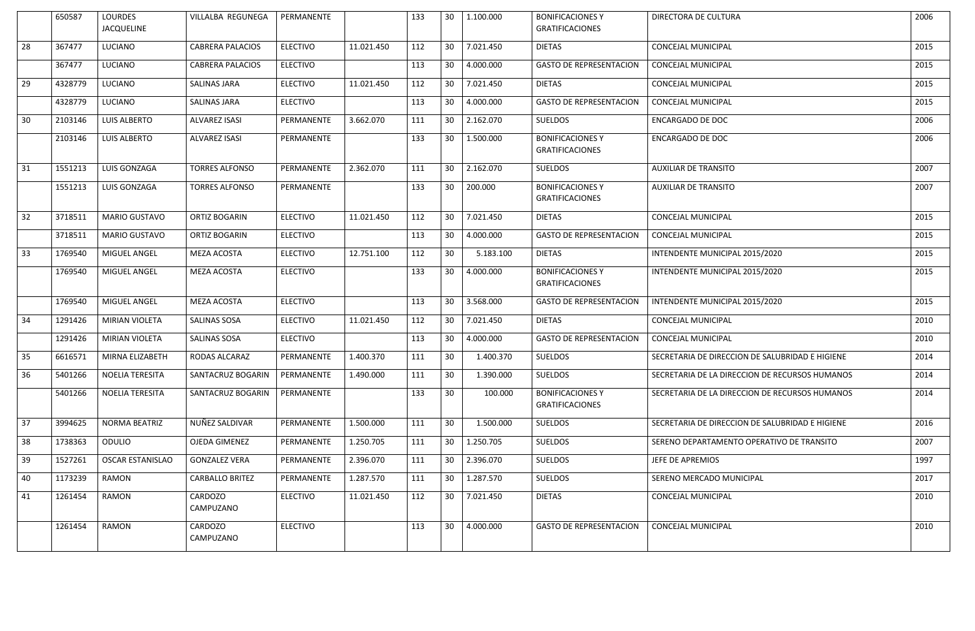|    | 650587  | <b>LOURDES</b><br><b>JACQUELINE</b> | VILLALBA REGUNEGA       | PERMANENTE      |            | 133 | 30              | 1.100.000 | <b>BONIFICACIONES Y</b><br><b>GRATIFICACIONES</b> | DIRECTORA DE CULTURA                            | 2006 |
|----|---------|-------------------------------------|-------------------------|-----------------|------------|-----|-----------------|-----------|---------------------------------------------------|-------------------------------------------------|------|
| 28 | 367477  | LUCIANO                             | <b>CABRERA PALACIOS</b> | <b>ELECTIVO</b> | 11.021.450 | 112 | 30              | 7.021.450 | <b>DIETAS</b>                                     | <b>CONCEJAL MUNICIPAL</b>                       | 2015 |
|    | 367477  | LUCIANO                             | <b>CABRERA PALACIOS</b> | <b>ELECTIVO</b> |            | 113 | 30              | 4.000.000 | <b>GASTO DE REPRESENTACION</b>                    | <b>CONCEJAL MUNICIPAL</b>                       | 2015 |
| 29 | 4328779 | <b>LUCIANO</b>                      | <b>SALINAS JARA</b>     | <b>ELECTIVO</b> | 11.021.450 | 112 | 30              | 7.021.450 | <b>DIETAS</b>                                     | <b>CONCEJAL MUNICIPAL</b>                       | 2015 |
|    | 4328779 | <b>LUCIANO</b>                      | <b>SALINAS JARA</b>     | <b>ELECTIVO</b> |            | 113 | 30              | 4.000.000 | <b>GASTO DE REPRESENTACION</b>                    | <b>CONCEJAL MUNICIPAL</b>                       | 2015 |
| 30 | 2103146 | <b>LUIS ALBERTO</b>                 | <b>ALVAREZ ISASI</b>    | PERMANENTE      | 3.662.070  | 111 | 30              | 2.162.070 | <b>SUELDOS</b>                                    | <b>ENCARGADO DE DOC</b>                         | 2006 |
|    | 2103146 | <b>LUIS ALBERTO</b>                 | <b>ALVAREZ ISASI</b>    | PERMANENTE      |            | 133 | 30              | 1.500.000 | <b>BONIFICACIONES Y</b><br><b>GRATIFICACIONES</b> | <b>ENCARGADO DE DOC</b>                         | 2006 |
| 31 | 1551213 | LUIS GONZAGA                        | <b>TORRES ALFONSO</b>   | PERMANENTE      | 2.362.070  | 111 | 30              | 2.162.070 | <b>SUELDOS</b>                                    | <b>AUXILIAR DE TRANSITO</b>                     | 2007 |
|    | 1551213 | LUIS GONZAGA                        | <b>TORRES ALFONSO</b>   | PERMANENTE      |            | 133 | 30              | 200.000   | <b>BONIFICACIONES Y</b><br><b>GRATIFICACIONES</b> | <b>AUXILIAR DE TRANSITO</b>                     | 2007 |
| 32 | 3718511 | <b>MARIO GUSTAVO</b>                | ORTIZ BOGARIN           | <b>ELECTIVO</b> | 11.021.450 | 112 | 30              | 7.021.450 | <b>DIETAS</b>                                     | <b>CONCEJAL MUNICIPAL</b>                       | 2015 |
|    | 3718511 | MARIO GUSTAVO                       | ORTIZ BOGARIN           | <b>ELECTIVO</b> |            | 113 | 30              | 4.000.000 | <b>GASTO DE REPRESENTACION</b>                    | CONCEJAL MUNICIPAL                              | 2015 |
| 33 | 1769540 | MIGUEL ANGEL                        | MEZA ACOSTA             | <b>ELECTIVO</b> | 12.751.100 | 112 | 30              | 5.183.100 | <b>DIETAS</b>                                     | INTENDENTE MUNICIPAL 2015/2020                  | 2015 |
|    | 1769540 | MIGUEL ANGEL                        | MEZA ACOSTA             | <b>ELECTIVO</b> |            | 133 | 30              | 4.000.000 | <b>BONIFICACIONES Y</b><br><b>GRATIFICACIONES</b> | INTENDENTE MUNICIPAL 2015/2020                  | 2015 |
|    | 1769540 | MIGUEL ANGEL                        | MEZA ACOSTA             | <b>ELECTIVO</b> |            | 113 | 30              | 3.568.000 | <b>GASTO DE REPRESENTACION</b>                    | INTENDENTE MUNICIPAL 2015/2020                  | 2015 |
| 34 | 1291426 | MIRIAN VIOLETA                      | <b>SALINAS SOSA</b>     | <b>ELECTIVO</b> | 11.021.450 | 112 | 30              | 7.021.450 | <b>DIETAS</b>                                     | CONCEJAL MUNICIPAL                              | 2010 |
|    | 1291426 | MIRIAN VIOLETA                      | <b>SALINAS SOSA</b>     | <b>ELECTIVO</b> |            | 113 | 30              | 4.000.000 | <b>GASTO DE REPRESENTACION</b>                    | CONCEJAL MUNICIPAL                              | 2010 |
| 35 | 6616571 | MIRNA ELIZABETH                     | RODAS ALCARAZ           | PERMANENTE      | 1.400.370  | 111 | 30              | 1.400.370 | <b>SUELDOS</b>                                    | SECRETARIA DE DIRECCION DE SALUBRIDAD E HIGIENE | 2014 |
| 36 | 5401266 | NOELIA TERESITA                     | SANTACRUZ BOGARIN       | PERMANENTE      | 1.490.000  | 111 | 30              | 1.390.000 | <b>SUELDOS</b>                                    | SECRETARIA DE LA DIRECCION DE RECURSOS HUMANOS  | 2014 |
|    | 5401266 | NOELIA TERESITA                     | SANTACRUZ BOGARIN       | PERMANENTE      |            | 133 | 30 <sup>°</sup> | 100.000   | <b>BONIFICACIONES Y</b><br><b>GRATIFICACIONES</b> | SECRETARIA DE LA DIRECCION DE RECURSOS HUMANOS  | 2014 |
| 37 | 3994625 | NORMA BEATRIZ                       | NUÑEZ SALDIVAR          | PERMANENTE      | 1.500.000  | 111 | 30              | 1.500.000 | <b>SUELDOS</b>                                    | SECRETARIA DE DIRECCION DE SALUBRIDAD E HIGIENE | 2016 |
| 38 | 1738363 | <b>ODULIO</b>                       | OJEDA GIMENEZ           | PERMANENTE      | 1.250.705  | 111 | 30              | 1.250.705 | <b>SUELDOS</b>                                    | SERENO DEPARTAMENTO OPERATIVO DE TRANSITO       | 2007 |
| 39 | 1527261 | <b>OSCAR ESTANISLAO</b>             | <b>GONZALEZ VERA</b>    | PERMANENTE      | 2.396.070  | 111 | 30              | 2.396.070 | <b>SUELDOS</b>                                    | JEFE DE APREMIOS                                | 1997 |
| 40 | 1173239 | RAMON                               | <b>CARBALLO BRITEZ</b>  | PERMANENTE      | 1.287.570  | 111 | 30              | 1.287.570 | <b>SUELDOS</b>                                    | SERENO MERCADO MUNICIPAL                        | 2017 |
| 41 | 1261454 | RAMON                               | CARDOZO<br>CAMPUZANO    | <b>ELECTIVO</b> | 11.021.450 | 112 | 30              | 7.021.450 | <b>DIETAS</b>                                     | CONCEJAL MUNICIPAL                              | 2010 |
|    | 1261454 | RAMON                               | CARDOZO<br>CAMPUZANO    | <b>ELECTIVO</b> |            | 113 | 30              | 4.000.000 | <b>GASTO DE REPRESENTACION</b>                    | <b>CONCEJAL MUNICIPAL</b>                       | 2010 |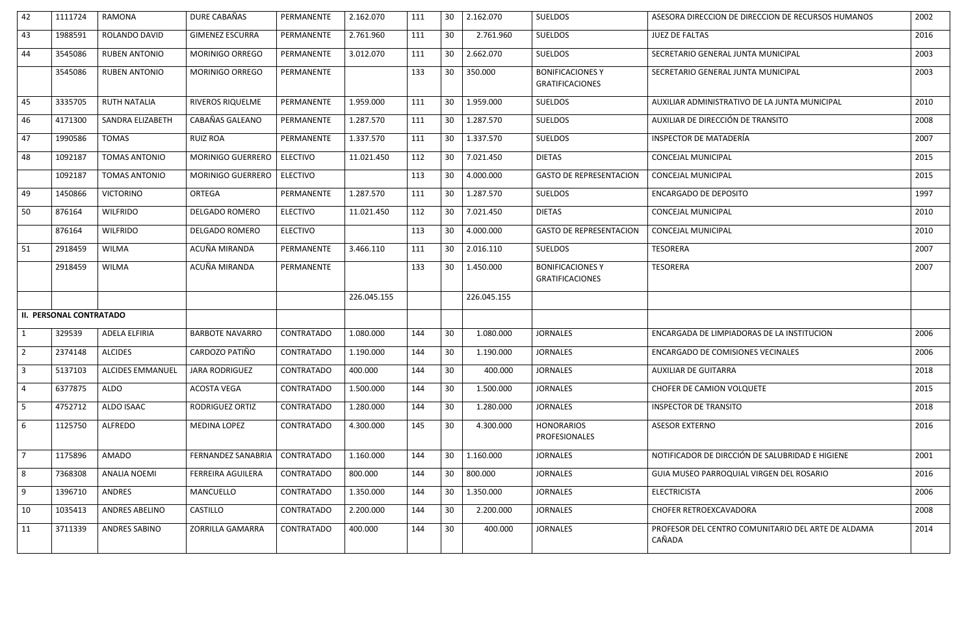| 42             | 1111724                        | <b>RAMONA</b>           | DURE CABAÑAS              | PERMANENTE        | 2.162.070   | 111 | 30 | 2.162.070   | <b>SUELDOS</b>                                    | ASESORA DIRECCION DE DIRECCION DE RECURSOS HUMANOS           | 2002 |
|----------------|--------------------------------|-------------------------|---------------------------|-------------------|-------------|-----|----|-------------|---------------------------------------------------|--------------------------------------------------------------|------|
| 43             | 1988591                        | ROLANDO DAVID           | <b>GIMENEZ ESCURRA</b>    | PERMANENTE        | 2.761.960   | 111 | 30 | 2.761.960   | <b>SUELDOS</b>                                    | <b>JUEZ DE FALTAS</b>                                        | 2016 |
| 44             | 3545086                        | <b>RUBEN ANTONIO</b>    | MORINIGO ORREGO           | PERMANENTE        | 3.012.070   | 111 | 30 | 2.662.070   | <b>SUELDOS</b>                                    | SECRETARIO GENERAL JUNTA MUNICIPAL                           | 2003 |
|                | 3545086                        | <b>RUBEN ANTONIO</b>    | MORINIGO ORREGO           | PERMANENTE        |             | 133 | 30 | 350.000     | <b>BONIFICACIONES Y</b><br><b>GRATIFICACIONES</b> | SECRETARIO GENERAL JUNTA MUNICIPAL                           | 2003 |
| 45             | 3335705                        | <b>RUTH NATALIA</b>     | RIVEROS RIQUELME          | PERMANENTE        | 1.959.000   | 111 | 30 | 1.959.000   | <b>SUELDOS</b>                                    | AUXILIAR ADMINISTRATIVO DE LA JUNTA MUNICIPAL                | 2010 |
| 46             | 4171300                        | SANDRA ELIZABETH        | CABAÑAS GALEANO           | PERMANENTE        | 1.287.570   | 111 | 30 | 1.287.570   | <b>SUELDOS</b>                                    | AUXILIAR DE DIRECCIÓN DE TRANSITO                            | 2008 |
| 47             | 1990586                        | <b>TOMAS</b>            | <b>RUIZ ROA</b>           | PERMANENTE        | 1.337.570   | 111 | 30 | 1.337.570   | <b>SUELDOS</b>                                    | INSPECTOR DE MATADERÍA                                       | 2007 |
| 48             | 1092187                        | <b>TOMAS ANTONIO</b>    | <b>MORINIGO GUERRERO</b>  | <b>ELECTIVO</b>   | 11.021.450  | 112 | 30 | 7.021.450   | <b>DIETAS</b>                                     | CONCEJAL MUNICIPAL                                           | 2015 |
|                | 1092187                        | <b>TOMAS ANTONIO</b>    | MORINIGO GUERRERO         | ELECTIVO          |             | 113 | 30 | 4.000.000   | <b>GASTO DE REPRESENTACION</b>                    | CONCEJAL MUNICIPAL                                           | 2015 |
| 49             | 1450866                        | <b>VICTORINO</b>        | <b>ORTEGA</b>             | PERMANENTE        | 1.287.570   | 111 | 30 | 1.287.570   | <b>SUELDOS</b>                                    | <b>ENCARGADO DE DEPOSITO</b>                                 | 1997 |
| 50             | 876164                         | <b>WILFRIDO</b>         | <b>DELGADO ROMERO</b>     | <b>ELECTIVO</b>   | 11.021.450  | 112 | 30 | 7.021.450   | <b>DIETAS</b>                                     | <b>CONCEJAL MUNICIPAL</b>                                    | 2010 |
|                | 876164                         | <b>WILFRIDO</b>         | <b>DELGADO ROMERO</b>     | <b>ELECTIVO</b>   |             | 113 | 30 | 4.000.000   | <b>GASTO DE REPRESENTACION</b>                    | CONCEJAL MUNICIPAL                                           | 2010 |
| 51             | 2918459                        | <b>WILMA</b>            | ACUÑA MIRANDA             | PERMANENTE        | 3.466.110   | 111 | 30 | 2.016.110   | <b>SUELDOS</b>                                    | <b>TESORERA</b>                                              | 2007 |
|                | 2918459                        | <b>WILMA</b>            | ACUÑA MIRANDA             | PERMANENTE        |             | 133 | 30 | 1.450.000   | <b>BONIFICACIONES Y</b><br><b>GRATIFICACIONES</b> | <b>TESORERA</b>                                              | 2007 |
|                |                                |                         |                           |                   | 226.045.155 |     |    | 226.045.155 |                                                   |                                                              |      |
|                | <b>II. PERSONAL CONTRATADO</b> |                         |                           |                   |             |     |    |             |                                                   |                                                              |      |
| $\mathbf{1}$   | 329539                         | <b>ADELA ELFIRIA</b>    | <b>BARBOTE NAVARRO</b>    | CONTRATADO        | 1.080.000   | 144 | 30 | 1.080.000   | <b>JORNALES</b>                                   | ENCARGADA DE LIMPIADORAS DE LA INSTITUCION                   | 2006 |
| $\overline{2}$ | 2374148                        | <b>ALCIDES</b>          | CARDOZO PATIÑO            | CONTRATADO        | 1.190.000   | 144 | 30 | 1.190.000   | <b>JORNALES</b>                                   | ENCARGADO DE COMISIONES VECINALES                            | 2006 |
| $\overline{3}$ | 5137103                        | <b>ALCIDES EMMANUEL</b> | <b>JARA RODRIGUEZ</b>     | <b>CONTRATADO</b> | 400.000     | 144 | 30 | 400.000     | <b>JORNALES</b>                                   | <b>AUXILIAR DE GUITARRA</b>                                  | 2018 |
| $\overline{4}$ | 6377875                        | ALDO                    | <b>ACOSTA VEGA</b>        | CONTRATADO        | 1.500.000   | 144 | 30 | 1.500.000   | <b>JORNALES</b>                                   | CHOFER DE CAMION VOLQUETE                                    | 2015 |
| 5 <sub>1</sub> | 4752712                        | ALDO ISAAC              | RODRIGUEZ ORTIZ           | <b>CONTRATADO</b> | 1.280.000   | 144 | 30 | 1.280.000   | <b>JORNALES</b>                                   | <b>INSPECTOR DE TRANSITO</b>                                 | 2018 |
| 6              | 1125750                        | ALFREDO                 | MEDINA LOPEZ              | CONTRATADO        | 4.300.000   | 145 | 30 | 4.300.000   | <b>HONORARIOS</b><br><b>PROFESIONALES</b>         | <b>ASESOR EXTERNO</b>                                        | 2016 |
| $\overline{7}$ | 1175896                        | <b>AMADO</b>            | <b>FERNANDEZ SANABRIA</b> | CONTRATADO        | 1.160.000   | 144 | 30 | 1.160.000   | <b>JORNALES</b>                                   | NOTIFICADOR DE DIRCCIÓN DE SALUBRIDAD E HIGIENE              | 2001 |
| 8              | 7368308                        | <b>ANALIA NOEMI</b>     | FERREIRA AGUILERA         | <b>CONTRATADO</b> | 800.000     | 144 | 30 | 800.000     | <b>JORNALES</b>                                   | GUIA MUSEO PARROQUIAL VIRGEN DEL ROSARIO                     | 2016 |
| 9              | 1396710                        | ANDRES                  | MANCUELLO                 | CONTRATADO        | 1.350.000   | 144 | 30 | 1.350.000   | <b>JORNALES</b>                                   | <b>ELECTRICISTA</b>                                          | 2006 |
| 10             | 1035413                        | ANDRES ABELINO          | <b>CASTILLO</b>           | <b>CONTRATADO</b> | 2.200.000   | 144 | 30 | 2.200.000   | <b>JORNALES</b>                                   | CHOFER RETROEXCAVADORA                                       | 2008 |
| 11             | 3711339                        | ANDRES SABINO           | ZORRILLA GAMARRA          | CONTRATADO        | 400.000     | 144 | 30 | 400.000     | <b>JORNALES</b>                                   | PROFESOR DEL CENTRO COMUNITARIO DEL ARTE DE ALDAMA<br>CAÑADA | 2014 |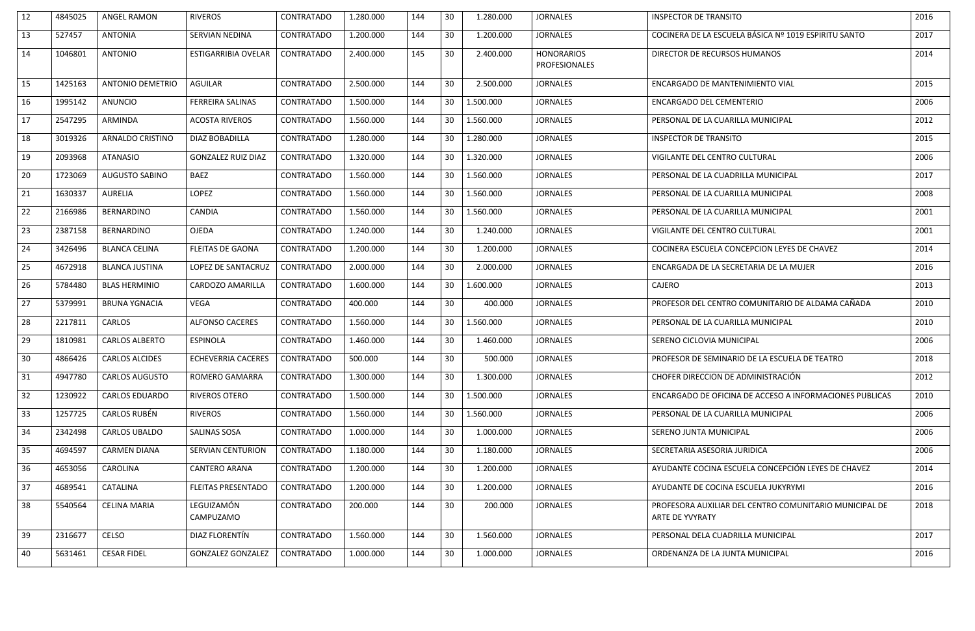| 12 | 4845025 | ANGEL RAMON             | <b>RIVEROS</b>             | <b>CONTRATADO</b> | 1.280.000 | 144 | 30              | 1.280.000 | <b>JORNALES</b>                           | <b>INSPECTOR DE TRANSITO</b>                                              | 2016 |
|----|---------|-------------------------|----------------------------|-------------------|-----------|-----|-----------------|-----------|-------------------------------------------|---------------------------------------------------------------------------|------|
| 13 | 527457  | <b>ANTONIA</b>          | SERVIAN NEDINA             | <b>CONTRATADO</b> | 1.200.000 | 144 | 30              | 1.200.000 | <b>JORNALES</b>                           | COCINERA DE LA ESCUELA BÁSICA Nº 1019 ESPIRITU SANTO                      | 2017 |
| 14 | 1046801 | <b>ANTONIO</b>          | <b>ESTIGARRIBIA OVELAR</b> | <b>CONTRATADO</b> | 2.400.000 | 145 | 30              | 2.400.000 | <b>HONORARIOS</b><br><b>PROFESIONALES</b> | DIRECTOR DE RECURSOS HUMANOS                                              | 2014 |
| 15 | 1425163 | <b>ANTONIO DEMETRIO</b> | <b>AGUILAR</b>             | <b>CONTRATADO</b> | 2.500.000 | 144 | 30              | 2.500.000 | <b>JORNALES</b>                           | ENCARGADO DE MANTENIMIENTO VIAL                                           | 2015 |
| 16 | 1995142 | <b>ANUNCIO</b>          | <b>FERREIRA SALINAS</b>    | <b>CONTRATADO</b> | 1.500.000 | 144 | 30              | 1.500.000 | <b>JORNALES</b>                           | <b>ENCARGADO DEL CEMENTERIO</b>                                           | 2006 |
| 17 | 2547295 | ARMINDA                 | <b>ACOSTA RIVEROS</b>      | <b>CONTRATADO</b> | 1.560.000 | 144 | 30              | 1.560.000 | <b>JORNALES</b>                           | PERSONAL DE LA CUARILLA MUNICIPAL                                         | 2012 |
| 18 | 3019326 | ARNALDO CRISTINO        | DIAZ BOBADILLA             | <b>CONTRATADO</b> | 1.280.000 | 144 | 30              | 1.280.000 | <b>JORNALES</b>                           | <b>INSPECTOR DE TRANSITO</b>                                              | 2015 |
| 19 | 2093968 | <b>ATANASIO</b>         | <b>GONZALEZ RUIZ DIAZ</b>  | <b>CONTRATADO</b> | 1.320.000 | 144 | 30              | 1.320.000 | <b>JORNALES</b>                           | VIGILANTE DEL CENTRO CULTURAL                                             | 2006 |
| 20 | 1723069 | <b>AUGUSTO SABINO</b>   | <b>BAEZ</b>                | <b>CONTRATADO</b> | 1.560.000 | 144 | 30              | 1.560.000 | <b>JORNALES</b>                           | PERSONAL DE LA CUADRILLA MUNICIPAL                                        | 2017 |
| 21 | 1630337 | <b>AURELIA</b>          | <b>LOPEZ</b>               | <b>CONTRATADO</b> | 1.560.000 | 144 | 30              | 1.560.000 | <b>JORNALES</b>                           | PERSONAL DE LA CUARILLA MUNICIPAL                                         | 2008 |
| 22 | 2166986 | <b>BERNARDINO</b>       | <b>CANDIA</b>              | <b>CONTRATADO</b> | 1.560.000 | 144 | 30              | 1.560.000 | <b>JORNALES</b>                           | PERSONAL DE LA CUARILLA MUNICIPAL                                         | 2001 |
| 23 | 2387158 | <b>BERNARDINO</b>       | <b>OJEDA</b>               | <b>CONTRATADO</b> | 1.240.000 | 144 | 30              | 1.240.000 | <b>JORNALES</b>                           | <b>VIGILANTE DEL CENTRO CULTURAL</b>                                      | 2001 |
| 24 | 3426496 | <b>BLANCA CELINA</b>    | <b>FLEITAS DE GAONA</b>    | <b>CONTRATADO</b> | 1.200.000 | 144 | 30              | 1.200.000 | <b>JORNALES</b>                           | COCINERA ESCUELA CONCEPCION LEYES DE CHAVEZ                               | 2014 |
| 25 | 4672918 | <b>BLANCA JUSTINA</b>   | LOPEZ DE SANTACRUZ         | <b>CONTRATADO</b> | 2.000.000 | 144 | 30              | 2.000.000 | <b>JORNALES</b>                           | ENCARGADA DE LA SECRETARIA DE LA MUJER                                    | 2016 |
| 26 | 5784480 | <b>BLAS HERMINIO</b>    | CARDOZO AMARILLA           | CONTRATADO        | 1.600.000 | 144 | 30              | 1.600.000 | <b>JORNALES</b>                           | CAJERO                                                                    | 2013 |
| 27 | 5379991 | <b>BRUNA YGNACIA</b>    | <b>VEGA</b>                | CONTRATADO        | 400.000   | 144 | 30              | 400.000   | <b>JORNALES</b>                           | PROFESOR DEL CENTRO COMUNITARIO DE ALDAMA CAÑADA                          | 2010 |
| 28 | 2217811 | <b>CARLOS</b>           | <b>ALFONSO CACERES</b>     | <b>CONTRATADO</b> | 1.560.000 | 144 | 30              | 1.560.000 | <b>JORNALES</b>                           | PERSONAL DE LA CUARILLA MUNICIPAL                                         | 2010 |
| 29 | 1810981 | <b>CARLOS ALBERTO</b>   | <b>ESPINOLA</b>            | <b>CONTRATADO</b> | 1.460.000 | 144 | 30              | 1.460.000 | <b>JORNALES</b>                           | SERENO CICLOVIA MUNICIPAL                                                 | 2006 |
| 30 | 4866426 | <b>CARLOS ALCIDES</b>   | <b>ECHEVERRIA CACERES</b>  | CONTRATADO        | 500.000   | 144 | 30              | 500.000   | <b>JORNALES</b>                           | PROFESOR DE SEMINARIO DE LA ESCUELA DE TEATRO                             | 2018 |
| 31 | 4947780 | <b>CARLOS AUGUSTO</b>   | <b>ROMERO GAMARRA</b>      | <b>CONTRATADO</b> | 1.300.000 | 144 | 30              | 1.300.000 | <b>JORNALES</b>                           | CHOFER DIRECCION DE ADMINISTRACIÓN                                        | 2012 |
| 32 | 1230922 | <b>CARLOS EDUARDO</b>   | <b>RIVEROS OTERO</b>       | CONTRATADO        | 1.500.000 | 144 | 30              | 1.500.000 | <b>JORNALES</b>                           | ENCARGADO DE OFICINA DE ACCESO A INFORMACIONES PUBLICAS                   | 2010 |
| 33 | 1257725 | <b>CARLOS RUBÉN</b>     | <b>RIVEROS</b>             | CONTRATADO        | 1.560.000 | 144 | 30              | 1.560.000 | <b>JORNALES</b>                           | PERSONAL DE LA CUARILLA MUNICIPAL                                         | 2006 |
| 34 | 2342498 | <b>CARLOS UBALDO</b>    | <b>SALINAS SOSA</b>        | <b>CONTRATADO</b> | 1.000.000 | 144 | 30              | 1.000.000 | <b>JORNALES</b>                           | SERENO JUNTA MUNICIPAL                                                    | 2006 |
| 35 | 4694597 | <b>CARMEN DIANA</b>     | <b>SERVIAN CENTURION</b>   | CONTRATADO        | 1.180.000 | 144 | 30              | 1.180.000 | <b>JORNALES</b>                           | SECRETARIA ASESORIA JURIDICA                                              | 2006 |
| 36 | 4653056 | CAROLINA                | <b>CANTERO ARANA</b>       | CONTRATADO        | 1.200.000 | 144 | 30              | 1.200.000 | <b>JORNALES</b>                           | AYUDANTE COCINA ESCUELA CONCEPCIÓN LEYES DE CHAVEZ                        | 2014 |
| 37 | 4689541 | CATALINA                | <b>FLEITAS PRESENTADO</b>  | <b>CONTRATADO</b> | 1.200.000 | 144 | 30              | 1.200.000 | <b>JORNALES</b>                           | AYUDANTE DE COCINA ESCUELA JUKYRYMI                                       | 2016 |
| 38 | 5540564 | <b>CELINA MARIA</b>     | LEGUIZAMÓN<br>CAMPUZAMO    | CONTRATADO        | 200.000   | 144 | 30 <sup>°</sup> | 200.000   | <b>JORNALES</b>                           | PROFESORA AUXILIAR DEL CENTRO COMUNITARIO MUNICIPAL DE<br>ARTE DE YVYRATY | 2018 |
| 39 | 2316677 | CELSO                   | DIAZ FLORENTÍN             | <b>CONTRATADO</b> | 1.560.000 | 144 | 30              | 1.560.000 | <b>JORNALES</b>                           | PERSONAL DELA CUADRILLA MUNICIPAL                                         | 2017 |
| 40 | 5631461 | <b>CESAR FIDEL</b>      | <b>GONZALEZ GONZALEZ</b>   | <b>CONTRATADO</b> | 1.000.000 | 144 | 30              | 1.000.000 | <b>JORNALES</b>                           | ORDENANZA DE LA JUNTA MUNICIPAL                                           | 2016 |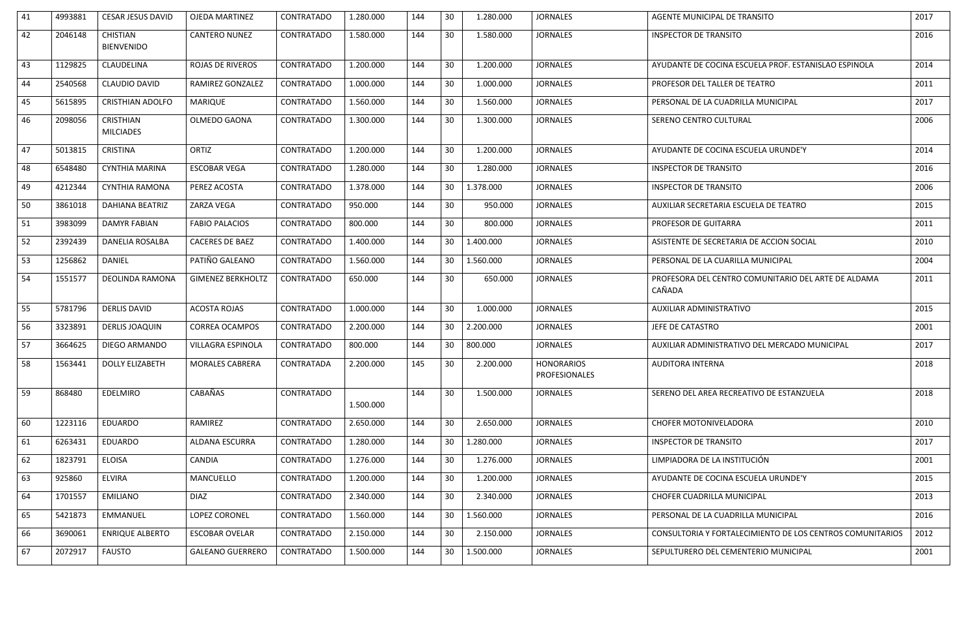| 41 | 4993881 | <b>CESAR JESUS DAVID</b>             | <b>OJEDA MARTINEZ</b>    | <b>CONTRATADO</b> | 1.280.000 | 144 | 30<br>1.280.000              | <b>JORNALES</b>                    | AGENTE MUNICIPAL DE TRANSITO                                  | 2017 |
|----|---------|--------------------------------------|--------------------------|-------------------|-----------|-----|------------------------------|------------------------------------|---------------------------------------------------------------|------|
| 42 | 2046148 | <b>CHISTIAN</b><br><b>BIENVENIDO</b> | <b>CANTERO NUNEZ</b>     | <b>CONTRATADO</b> | 1.580.000 | 144 | 30<br>1.580.000              | <b>JORNALES</b>                    | <b>INSPECTOR DE TRANSITO</b>                                  | 2016 |
| 43 | 1129825 | CLAUDELINA                           | <b>ROJAS DE RIVEROS</b>  | <b>CONTRATADO</b> | 1.200.000 | 144 | 30<br>1.200.000              | <b>JORNALES</b>                    | AYUDANTE DE COCINA ESCUELA PROF. ESTANISLAO ESPINOLA          | 2014 |
| 44 | 2540568 | <b>CLAUDIO DAVID</b>                 | RAMIREZ GONZALEZ         | <b>CONTRATADO</b> | 1.000.000 | 144 | 30<br>1.000.000              | <b>JORNALES</b>                    | PROFESOR DEL TALLER DE TEATRO                                 | 2011 |
| 45 | 5615895 | <b>CRISTHIAN ADOLFO</b>              | MARIQUE                  | <b>CONTRATADO</b> | 1.560.000 | 144 | 30<br>1.560.000              | <b>JORNALES</b>                    | PERSONAL DE LA CUADRILLA MUNICIPAL                            | 2017 |
| 46 | 2098056 | <b>CRISTHIAN</b><br><b>MILCIADES</b> | OLMEDO GAONA             | <b>CONTRATADO</b> | 1.300.000 | 144 | 1.300.000<br>30              | <b>JORNALES</b>                    | SERENO CENTRO CULTURAL                                        | 2006 |
| 47 | 5013815 | <b>CRISTINA</b>                      | ORTIZ                    | <b>CONTRATADO</b> | 1.200.000 | 144 | 30<br>1.200.000              | <b>JORNALES</b>                    | AYUDANTE DE COCINA ESCUELA URUNDE'Y                           | 2014 |
| 48 | 6548480 | <b>CYNTHIA MARINA</b>                | <b>ESCOBAR VEGA</b>      | <b>CONTRATADO</b> | 1.280.000 | 144 | 30<br>1.280.000              | <b>JORNALES</b>                    | <b>INSPECTOR DE TRANSITO</b>                                  | 2016 |
| 49 | 4212344 | <b>CYNTHIA RAMONA</b>                | PEREZ ACOSTA             | <b>CONTRATADO</b> | 1.378.000 | 144 | 1.378.000<br>30              | <b>JORNALES</b>                    | <b>INSPECTOR DE TRANSITO</b>                                  | 2006 |
| 50 | 3861018 | <b>DAHIANA BEATRIZ</b>               | ZARZA VEGA               | <b>CONTRATADO</b> | 950.000   | 144 | 30<br>950.000                | <b>JORNALES</b>                    | AUXILIAR SECRETARIA ESCUELA DE TEATRO                         | 2015 |
| 51 | 3983099 | <b>DAMYR FABIAN</b>                  | <b>FABIO PALACIOS</b>    | CONTRATADO        | 800.000   | 144 | 30<br>800.000                | <b>JORNALES</b>                    | PROFESOR DE GUITARRA                                          | 2011 |
| 52 | 2392439 | DANELIA ROSALBA                      | <b>CACERES DE BAEZ</b>   | <b>CONTRATADO</b> | 1.400.000 | 144 | 30<br>1.400.000              | <b>JORNALES</b>                    | ASISTENTE DE SECRETARIA DE ACCION SOCIAL                      | 2010 |
| 53 | 1256862 | <b>DANIEL</b>                        | PATIÑO GALEANO           | <b>CONTRATADO</b> | 1.560.000 | 144 | 30<br>1.560.000              | <b>JORNALES</b>                    | PERSONAL DE LA CUARILLA MUNICIPAL                             | 2004 |
| 54 | 1551577 | DEOLINDA RAMONA                      | <b>GIMENEZ BERKHOLTZ</b> | <b>CONTRATADO</b> | 650.000   | 144 | 30<br>650.000                | <b>JORNALES</b>                    | PROFESORA DEL CENTRO COMUNITARIO DEL ARTE DE ALDAMA<br>CAÑADA | 2011 |
| 55 | 5781796 | <b>DERLIS DAVID</b>                  | <b>ACOSTA ROJAS</b>      | <b>CONTRATADO</b> | 1.000.000 | 144 | 30<br>1.000.000              | <b>JORNALES</b>                    | AUXILIAR ADMINISTRATIVO                                       | 2015 |
| 56 | 3323891 | <b>DERLIS JOAQUIN</b>                | <b>CORREA OCAMPOS</b>    | <b>CONTRATADO</b> | 2.200.000 | 144 | 30<br>2.200.000              | <b>JORNALES</b>                    | JEFE DE CATASTRO                                              | 2001 |
| 57 | 3664625 | DIEGO ARMANDO                        | VILLAGRA ESPINOLA        | <b>CONTRATADO</b> | 800.000   | 144 | 30<br>800.000                | <b>JORNALES</b>                    | AUXILIAR ADMINISTRATIVO DEL MERCADO MUNICIPAL                 | 2017 |
| 58 | 1563441 | <b>DOLLY ELIZABETH</b>               | MORALES CABRERA          | CONTRATADA        | 2.200.000 | 145 | 30 <sup>°</sup><br>2.200.000 | <b>HONORARIOS</b><br>PROFESIONALES | AUDITORA INTERNA                                              | 2018 |
| 59 | 868480  | <b>EDELMIRO</b>                      | CABAÑAS                  | CONTRATADO        | 1.500.000 | 144 | 30<br>1.500.000              | <b>JORNALES</b>                    | SERENO DEL AREA RECREATIVO DE ESTANZUELA                      | 2018 |
| 60 | 1223116 | <b>EDUARDO</b>                       | RAMIREZ                  | <b>CONTRATADO</b> | 2.650.000 | 144 | 30<br>2.650.000              | <b>JORNALES</b>                    | <b>CHOFER MOTONIVELADORA</b>                                  | 2010 |
| 61 | 6263431 | <b>EDUARDO</b>                       | ALDANA ESCURRA           | <b>CONTRATADO</b> | 1.280.000 | 144 | 30<br>1.280.000              | <b>JORNALES</b>                    | <b>INSPECTOR DE TRANSITO</b>                                  | 2017 |
| 62 | 1823791 | <b>ELOISA</b>                        | CANDIA                   | <b>CONTRATADO</b> | 1.276.000 | 144 | 30<br>1.276.000              | <b>JORNALES</b>                    | LIMPIADORA DE LA INSTITUCIÓN                                  | 2001 |
| 63 | 925860  | <b>ELVIRA</b>                        | MANCUELLO                | <b>CONTRATADO</b> | 1.200.000 | 144 | 30<br>1.200.000              | <b>JORNALES</b>                    | AYUDANTE DE COCINA ESCUELA URUNDE'Y                           | 2015 |
| 64 | 1701557 | EMILIANO                             | <b>DIAZ</b>              | <b>CONTRATADO</b> | 2.340.000 | 144 | 30<br>2.340.000              | <b>JORNALES</b>                    | CHOFER CUADRILLA MUNICIPAL                                    | 2013 |
| 65 | 5421873 | EMMANUEL                             | LOPEZ CORONEL            | <b>CONTRATADO</b> | 1.560.000 | 144 | 1.560.000<br>30              | <b>JORNALES</b>                    | PERSONAL DE LA CUADRILLA MUNICIPAL                            | 2016 |
| 66 | 3690061 | <b>ENRIQUE ALBERTO</b>               | <b>ESCOBAR OVELAR</b>    | <b>CONTRATADO</b> | 2.150.000 | 144 | 30<br>2.150.000              | <b>JORNALES</b>                    | CONSULTORIA Y FORTALECIMIENTO DE LOS CENTROS COMUNITARIOS     | 2012 |
| 67 | 2072917 | <b>FAUSTO</b>                        | <b>GALEANO GUERRERO</b>  | CONTRATADO        | 1.500.000 | 144 | 30 <sup>°</sup><br>1.500.000 | <b>JORNALES</b>                    | SEPULTURERO DEL CEMENTERIO MUNICIPAL                          | 2001 |
|    |         |                                      |                          |                   |           |     |                              |                                    |                                                               |      |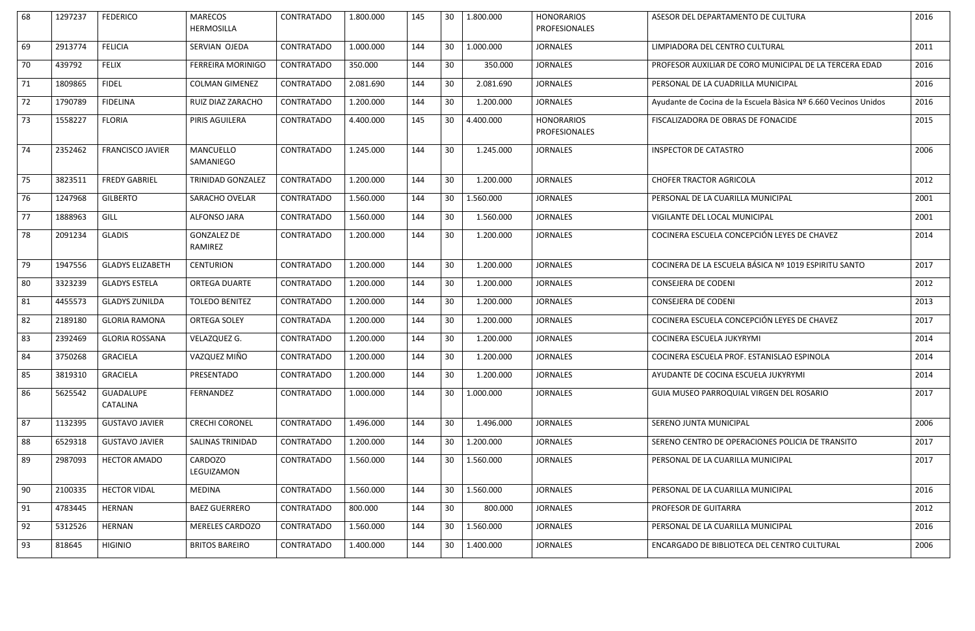| 68 | 1297237 | <b>FEDERICO</b>         | <b>MARECOS</b><br><b>HERMOSILLA</b> | <b>CONTRATADO</b> | 1.800.000 | 145 | 30 | 1.800.000 | <b>HONORARIOS</b><br>PROFESIONALES        | ASESOR DEL DEPARTAMENTO DE CULTURA                              | 2016 |
|----|---------|-------------------------|-------------------------------------|-------------------|-----------|-----|----|-----------|-------------------------------------------|-----------------------------------------------------------------|------|
| 69 | 2913774 | <b>FELICIA</b>          | SERVIAN OJEDA                       | <b>CONTRATADO</b> | 1.000.000 | 144 | 30 | 1.000.000 | <b>JORNALES</b>                           | LIMPIADORA DEL CENTRO CULTURAL                                  | 2011 |
| 70 | 439792  | <b>FELIX</b>            | <b>FERREIRA MORINIGO</b>            | CONTRATADO        | 350.000   | 144 | 30 | 350.000   | <b>JORNALES</b>                           | PROFESOR AUXILIAR DE CORO MUNICIPAL DE LA TERCERA EDAD          | 2016 |
| 71 | 1809865 | <b>FIDEL</b>            | <b>COLMAN GIMENEZ</b>               | <b>CONTRATADO</b> | 2.081.690 | 144 | 30 | 2.081.690 | <b>JORNALES</b>                           | PERSONAL DE LA CUADRILLA MUNICIPAL                              | 2016 |
| 72 | 1790789 | <b>FIDELINA</b>         | RUIZ DIAZ ZARACHO                   | <b>CONTRATADO</b> | 1.200.000 | 144 | 30 | 1.200.000 | <b>JORNALES</b>                           | Ayudante de Cocina de la Escuela Bàsica Nº 6.660 Vecinos Unidos | 2016 |
| 73 | 1558227 | <b>FLORIA</b>           | PIRIS AGUILERA                      | <b>CONTRATADO</b> | 4.400.000 | 145 | 30 | 4.400.000 | <b>HONORARIOS</b><br><b>PROFESIONALES</b> | FISCALIZADORA DE OBRAS DE FONACIDE                              | 2015 |
| 74 | 2352462 | <b>FRANCISCO JAVIER</b> | MANCUELLO<br>SAMANIEGO              | <b>CONTRATADO</b> | 1.245.000 | 144 | 30 | 1.245.000 | <b>JORNALES</b>                           | <b>INSPECTOR DE CATASTRO</b>                                    | 2006 |
| 75 | 3823511 | <b>FREDY GABRIEL</b>    | <b>TRINIDAD GONZALEZ</b>            | CONTRATADO        | 1.200.000 | 144 | 30 | 1.200.000 | <b>JORNALES</b>                           | <b>CHOFER TRACTOR AGRICOLA</b>                                  | 2012 |
| 76 | 1247968 | <b>GILBERTO</b>         | <b>SARACHO OVELAR</b>               | <b>CONTRATADO</b> | 1.560.000 | 144 | 30 | 1.560.000 | <b>JORNALES</b>                           | PERSONAL DE LA CUARILLA MUNICIPAL                               | 2001 |
| 77 | 1888963 | GILL                    | ALFONSO JARA                        | <b>CONTRATADO</b> | 1.560.000 | 144 | 30 | 1.560.000 | <b>JORNALES</b>                           | VIGILANTE DEL LOCAL MUNICIPAL                                   | 2001 |
| 78 | 2091234 | <b>GLADIS</b>           | <b>GONZALEZ DE</b><br>RAMIREZ       | <b>CONTRATADO</b> | 1.200.000 | 144 | 30 | 1.200.000 | <b>JORNALES</b>                           | COCINERA ESCUELA CONCEPCIÓN LEYES DE CHAVEZ                     | 2014 |
| 79 | 1947556 | <b>GLADYS ELIZABETH</b> | <b>CENTURION</b>                    | <b>CONTRATADO</b> | 1.200.000 | 144 | 30 | 1.200.000 | <b>JORNALES</b>                           | COCINERA DE LA ESCUELA BÁSICA Nº 1019 ESPIRITU SANTO            | 2017 |
| 80 | 3323239 | <b>GLADYS ESTELA</b>    | ORTEGA DUARTE                       | <b>CONTRATADO</b> | 1.200.000 | 144 | 30 | 1.200.000 | <b>JORNALES</b>                           | <b>CONSEJERA DE CODENI</b>                                      | 2012 |
| 81 | 4455573 | <b>GLADYS ZUNILDA</b>   | <b>TOLEDO BENITEZ</b>               | <b>CONTRATADO</b> | 1.200.000 | 144 | 30 | 1.200.000 | <b>JORNALES</b>                           | <b>CONSEJERA DE CODENI</b>                                      | 2013 |
| 82 | 2189180 | <b>GLORIA RAMONA</b>    | <b>ORTEGA SOLEY</b>                 | CONTRATADA        | 1.200.000 | 144 | 30 | 1.200.000 | <b>JORNALES</b>                           | COCINERA ESCUELA CONCEPCIÓN LEYES DE CHAVEZ                     | 2017 |
| 83 | 2392469 | <b>GLORIA ROSSANA</b>   | VELAZQUEZ G.                        | <b>CONTRATADO</b> | 1.200.000 | 144 | 30 | 1.200.000 | <b>JORNALES</b>                           | COCINERA ESCUELA JUKYRYMI                                       | 2014 |
| 84 | 3750268 | <b>GRACIELA</b>         | VAZQUEZ MIÑO                        | <b>CONTRATADO</b> | 1.200.000 | 144 | 30 | 1.200.000 | <b>JORNALES</b>                           | COCINERA ESCUELA PROF. ESTANISLAO ESPINOLA                      | 2014 |
| 85 | 3819310 | <b>GRACIELA</b>         | PRESENTADO                          | <b>CONTRATADO</b> | 1.200.000 | 144 | 30 | 1.200.000 | <b>JORNALES</b>                           | AYUDANTE DE COCINA ESCUELA JUKYRYMI                             | 2014 |
| 86 | 5625542 | GUADALUPE<br>CATALINA   | FERNANDEZ                           | <b>CONTRATADO</b> | 1.000.000 | 144 | 30 | 1.000.000 | <b>JORNALES</b>                           | GUIA MUSEO PARROQUIAL VIRGEN DEL ROSARIO                        | 2017 |
| 87 | 1132395 | <b>GUSTAVO JAVIER</b>   | <b>CRECHI CORONEL</b>               | <b>CONTRATADO</b> | 1.496.000 | 144 | 30 | 1.496.000 | <b>JORNALES</b>                           | SERENO JUNTA MUNICIPAL                                          | 2006 |
| 88 | 6529318 | <b>GUSTAVO JAVIER</b>   | <b>SALINAS TRINIDAD</b>             | <b>CONTRATADO</b> | 1.200.000 | 144 | 30 | 1.200.000 | <b>JORNALES</b>                           | SERENO CENTRO DE OPERACIONES POLICIA DE TRANSITO                | 2017 |
| 89 | 2987093 | <b>HECTOR AMADO</b>     | CARDOZO<br>LEGUIZAMON               | <b>CONTRATADO</b> | 1.560.000 | 144 | 30 | 1.560.000 | <b>JORNALES</b>                           | PERSONAL DE LA CUARILLA MUNICIPAL                               | 2017 |
| 90 | 2100335 | <b>HECTOR VIDAL</b>     | <b>MEDINA</b>                       | <b>CONTRATADO</b> | 1.560.000 | 144 | 30 | 1.560.000 | <b>JORNALES</b>                           | PERSONAL DE LA CUARILLA MUNICIPAL                               | 2016 |
| 91 | 4783445 | <b>HERNAN</b>           | <b>BAEZ GUERRERO</b>                | CONTRATADO        | 800.000   | 144 | 30 | 800.000   | <b>JORNALES</b>                           | PROFESOR DE GUITARRA                                            | 2012 |
| 92 | 5312526 | <b>HERNAN</b>           | MERELES CARDOZO                     | <b>CONTRATADO</b> | 1.560.000 | 144 | 30 | 1.560.000 | <b>JORNALES</b>                           | PERSONAL DE LA CUARILLA MUNICIPAL                               | 2016 |
| 93 | 818645  | <b>HIGINIO</b>          | <b>BRITOS BAREIRO</b>               | <b>CONTRATADO</b> | 1.400.000 | 144 | 30 | 1.400.000 | <b>JORNALES</b>                           | ENCARGADO DE BIBLIOTECA DEL CENTRO CULTURAL                     | 2006 |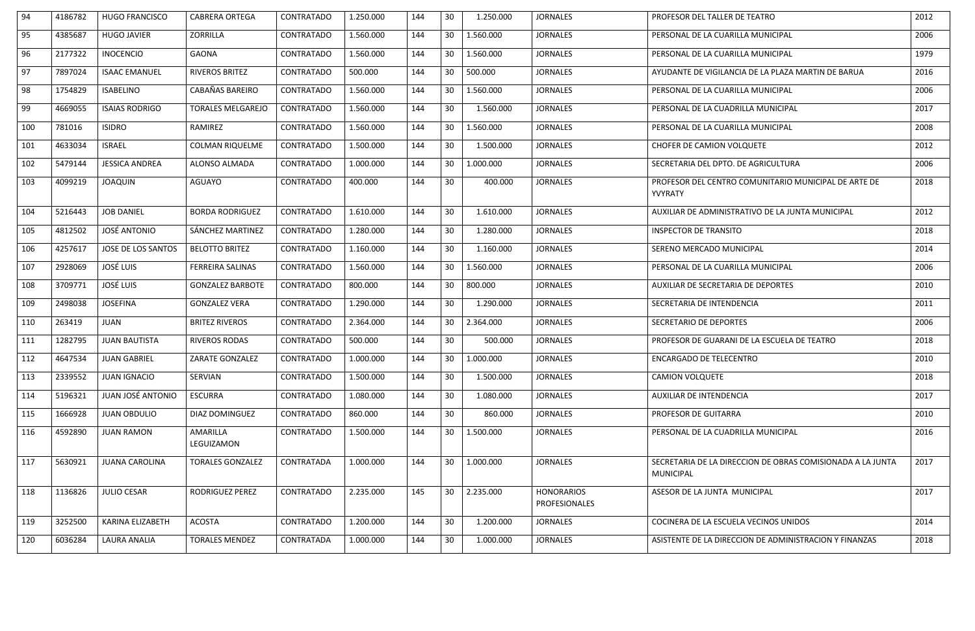| 94  | 4186782 | <b>HUGO FRANCISCO</b>   | <b>CABRERA ORTEGA</b>         | <b>CONTRATADO</b> | 1.250.000 | 144 | 30 | 1.250.000 | <b>JORNALES</b>                           | PROFESOR DEL TALLER DE TEATRO                                                  | 2012 |
|-----|---------|-------------------------|-------------------------------|-------------------|-----------|-----|----|-----------|-------------------------------------------|--------------------------------------------------------------------------------|------|
| 95  | 4385687 | <b>HUGO JAVIER</b>      | ZORRILLA                      | <b>CONTRATADO</b> | 1.560.000 | 144 | 30 | 1.560.000 | <b>JORNALES</b>                           | PERSONAL DE LA CUARILLA MUNICIPAL                                              | 2006 |
| 96  | 2177322 | <b>INOCENCIO</b>        | <b>GAONA</b>                  | <b>CONTRATADO</b> | 1.560.000 | 144 | 30 | 1.560.000 | <b>JORNALES</b>                           | PERSONAL DE LA CUARILLA MUNICIPAL                                              | 1979 |
| 97  | 7897024 | <b>ISAAC EMANUEL</b>    | <b>RIVEROS BRITEZ</b>         | <b>CONTRATADO</b> | 500.000   | 144 | 30 | 500.000   | <b>JORNALES</b>                           | AYUDANTE DE VIGILANCIA DE LA PLAZA MARTIN DE BARUA                             | 2016 |
| 98  | 1754829 | <b>ISABELINO</b>        | CABAÑAS BAREIRO               | <b>CONTRATADO</b> | 1.560.000 | 144 | 30 | 1.560.000 | <b>JORNALES</b>                           | PERSONAL DE LA CUARILLA MUNICIPAL                                              | 2006 |
| 99  | 4669055 | <b>ISAIAS RODRIGO</b>   | <b>TORALES MELGAREJO</b>      | <b>CONTRATADO</b> | 1.560.000 | 144 | 30 | 1.560.000 | <b>JORNALES</b>                           | PERSONAL DE LA CUADRILLA MUNICIPAL                                             | 2017 |
| 100 | 781016  | <b>ISIDRO</b>           | RAMIREZ                       | <b>CONTRATADO</b> | 1.560.000 | 144 | 30 | 1.560.000 | <b>JORNALES</b>                           | PERSONAL DE LA CUARILLA MUNICIPAL                                              | 2008 |
| 101 | 4633034 | <b>ISRAEL</b>           | <b>COLMAN RIQUELME</b>        | <b>CONTRATADO</b> | 1.500.000 | 144 | 30 | 1.500.000 | <b>JORNALES</b>                           | CHOFER DE CAMION VOLQUETE                                                      | 2012 |
| 102 | 5479144 | <b>JESSICA ANDREA</b>   | ALONSO ALMADA                 | <b>CONTRATADO</b> | 1.000.000 | 144 | 30 | 1.000.000 | <b>JORNALES</b>                           | SECRETARIA DEL DPTO. DE AGRICULTURA                                            | 2006 |
| 103 | 4099219 | <b>JOAQUIN</b>          | <b>AGUAYO</b>                 | <b>CONTRATADO</b> | 400.000   | 144 | 30 | 400.000   | <b>JORNALES</b>                           | PROFESOR DEL CENTRO COMUNITARIO MUNICIPAL DE ARTE DE<br>YVYRATY                | 2018 |
| 104 | 5216443 | <b>JOB DANIEL</b>       | <b>BORDA RODRIGUEZ</b>        | <b>CONTRATADO</b> | 1.610.000 | 144 | 30 | 1.610.000 | <b>JORNALES</b>                           | AUXILIAR DE ADMINISTRATIVO DE LA JUNTA MUNICIPAL                               | 2012 |
| 105 | 4812502 | JOSÉ ANTONIO            | SÁNCHEZ MARTINEZ              | <b>CONTRATADO</b> | 1.280.000 | 144 | 30 | 1.280.000 | <b>JORNALES</b>                           | <b>INSPECTOR DE TRANSITO</b>                                                   | 2018 |
| 106 | 4257617 | JOSE DE LOS SANTOS      | <b>BELOTTO BRITEZ</b>         | <b>CONTRATADO</b> | 1.160.000 | 144 | 30 | 1.160.000 | <b>JORNALES</b>                           | SERENO MERCADO MUNICIPAL                                                       | 2014 |
| 107 | 2928069 | <b>JOSÉ LUIS</b>        | <b>FERREIRA SALINAS</b>       | <b>CONTRATADO</b> | 1.560.000 | 144 | 30 | 1.560.000 | <b>JORNALES</b>                           | PERSONAL DE LA CUARILLA MUNICIPAL                                              | 2006 |
| 108 | 3709771 | JOSÉ LUIS               | <b>GONZALEZ BARBOTE</b>       | <b>CONTRATADO</b> | 800.000   | 144 | 30 | 800.000   | <b>JORNALES</b>                           | AUXILIAR DE SECRETARIA DE DEPORTES                                             | 2010 |
| 109 | 2498038 | <b>JOSEFINA</b>         | <b>GONZALEZ VERA</b>          | <b>CONTRATADO</b> | 1.290.000 | 144 | 30 | 1.290.000 | <b>JORNALES</b>                           | SECRETARIA DE INTENDENCIA                                                      | 2011 |
| 110 | 263419  | <b>JUAN</b>             | <b>BRITEZ RIVEROS</b>         | <b>CONTRATADO</b> | 2.364.000 | 144 | 30 | 2.364.000 | <b>JORNALES</b>                           | SECRETARIO DE DEPORTES                                                         | 2006 |
| 111 | 1282795 | <b>JUAN BAUTISTA</b>    | <b>RIVEROS RODAS</b>          | <b>CONTRATADO</b> | 500.000   | 144 | 30 | 500.000   | <b>JORNALES</b>                           | PROFESOR DE GUARANI DE LA ESCUELA DE TEATRO                                    | 2018 |
| 112 | 4647534 | <b>JUAN GABRIEL</b>     | ZARATE GONZALEZ               | <b>CONTRATADO</b> | 1.000.000 | 144 | 30 | 1.000.000 | <b>JORNALES</b>                           | <b>ENCARGADO DE TELECENTRO</b>                                                 | 2010 |
| 113 | 2339552 | <b>JUAN IGNACIO</b>     | SERVIAN                       | <b>CONTRATADO</b> | 1.500.000 | 144 | 30 | 1.500.000 | <b>JORNALES</b>                           | <b>CAMION VOLQUETE</b>                                                         | 2018 |
| 114 | 5196321 | JUAN JOSÉ ANTONIO       | <b>ESCURRA</b>                | <b>CONTRATADO</b> | 1.080.000 | 144 | 30 | 1.080.000 | <b>JORNALES</b>                           | AUXILIAR DE INTENDENCIA                                                        | 2017 |
| 115 | 1666928 | <b>JUAN OBDULIO</b>     | DIAZ DOMINGUEZ                | CONTRATADO        | 860.000   | 144 | 30 | 860.000   | <b>JORNALES</b>                           | PROFESOR DE GUITARRA                                                           | 2010 |
| 116 | 4592890 | <b>JUAN RAMON</b>       | <b>AMARILLA</b><br>LEGUIZAMON | <b>CONTRATADO</b> | 1.500.000 | 144 | 30 | 1.500.000 | <b>JORNALES</b>                           | PERSONAL DE LA CUADRILLA MUNICIPAL                                             | 2016 |
| 117 | 5630921 | <b>JUANA CAROLINA</b>   | <b>TORALES GONZALEZ</b>       | CONTRATADA        | 1.000.000 | 144 | 30 | 1.000.000 | <b>JORNALES</b>                           | SECRETARIA DE LA DIRECCION DE OBRAS COMISIONADA A LA JUNTA<br><b>MUNICIPAL</b> | 2017 |
| 118 | 1136826 | <b>JULIO CESAR</b>      | RODRIGUEZ PEREZ               | <b>CONTRATADO</b> | 2.235.000 | 145 | 30 | 2.235.000 | <b>HONORARIOS</b><br><b>PROFESIONALES</b> | ASESOR DE LA JUNTA MUNICIPAL                                                   | 2017 |
| 119 | 3252500 | <b>KARINA ELIZABETH</b> | <b>ACOSTA</b>                 | <b>CONTRATADO</b> | 1.200.000 | 144 | 30 | 1.200.000 | <b>JORNALES</b>                           | COCINERA DE LA ESCUELA VECINOS UNIDOS                                          | 2014 |
| 120 | 6036284 | LAURA ANALIA            | <b>TORALES MENDEZ</b>         | CONTRATADA        | 1.000.000 | 144 | 30 | 1.000.000 | <b>JORNALES</b>                           | ASISTENTE DE LA DIRECCION DE ADMINISTRACION Y FINANZAS                         | 2018 |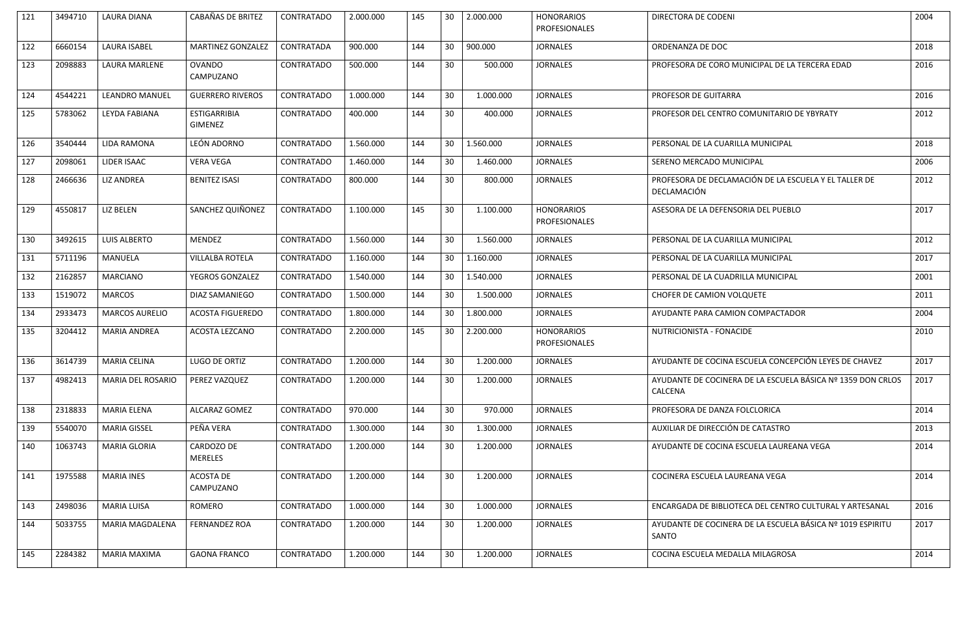| 121 | 3494710 | <b>LAURA DIANA</b>    | <b>CABAÑAS DE BRITEZ</b>              | <b>CONTRATADO</b> | 2.000.000 | 145 | 30              | 2.000.000 | <b>HONORARIOS</b><br><b>PROFESIONALES</b> | DIRECTORA DE CODENI                                                    | 2004 |
|-----|---------|-----------------------|---------------------------------------|-------------------|-----------|-----|-----------------|-----------|-------------------------------------------|------------------------------------------------------------------------|------|
| 122 | 6660154 | <b>LAURA ISABEL</b>   | <b>MARTINEZ GONZALEZ</b>              | CONTRATADA        | 900.000   | 144 | 30              | 900.000   | <b>JORNALES</b>                           | ORDENANZA DE DOC                                                       | 2018 |
| 123 | 2098883 | LAURA MARLENE         | <b>OVANDO</b><br>CAMPUZANO            | <b>CONTRATADO</b> | 500.000   | 144 | 30              | 500.000   | <b>JORNALES</b>                           | PROFESORA DE CORO MUNICIPAL DE LA TERCERA EDAD                         | 2016 |
| 124 | 4544221 | <b>LEANDRO MANUEL</b> | <b>GUERRERO RIVEROS</b>               | CONTRATADO        | 1.000.000 | 144 | 30              | 1.000.000 | <b>JORNALES</b>                           | PROFESOR DE GUITARRA                                                   | 2016 |
| 125 | 5783062 | LEYDA FABIANA         | <b>ESTIGARRIBIA</b><br><b>GIMENEZ</b> | <b>CONTRATADO</b> | 400.000   | 144 | 30              | 400.000   | <b>JORNALES</b>                           | PROFESOR DEL CENTRO COMUNITARIO DE YBYRATY                             | 2012 |
| 126 | 3540444 | <b>LIDA RAMONA</b>    | LEÓN ADORNO                           | <b>CONTRATADO</b> | 1.560.000 | 144 | 30              | 1.560.000 | <b>JORNALES</b>                           | PERSONAL DE LA CUARILLA MUNICIPAL                                      | 2018 |
| 127 | 2098061 | LIDER ISAAC           | <b>VERA VEGA</b>                      | CONTRATADO        | 1.460.000 | 144 | 30              | 1.460.000 | <b>JORNALES</b>                           | SERENO MERCADO MUNICIPAL                                               | 2006 |
| 128 | 2466636 | <b>LIZ ANDREA</b>     | <b>BENITEZ ISASI</b>                  | <b>CONTRATADO</b> | 800.000   | 144 | 30 <sup>°</sup> | 800.000   | <b>JORNALES</b>                           | PROFESORA DE DECLAMACIÓN DE LA ESCUELA Y EL TALLER DE<br>DECLAMACIÓN   | 2012 |
| 129 | 4550817 | <b>LIZ BELEN</b>      | SANCHEZ QUIÑONEZ                      | <b>CONTRATADO</b> | 1.100.000 | 145 | 30              | 1.100.000 | <b>HONORARIOS</b><br><b>PROFESIONALES</b> | ASESORA DE LA DEFENSORIA DEL PUEBLO                                    | 2017 |
| 130 | 3492615 | <b>LUIS ALBERTO</b>   | <b>MENDEZ</b>                         | <b>CONTRATADO</b> | 1.560.000 | 144 | 30              | 1.560.000 | <b>JORNALES</b>                           | PERSONAL DE LA CUARILLA MUNICIPAL                                      | 2012 |
| 131 | 5711196 | <b>MANUELA</b>        | <b>VILLALBA ROTELA</b>                | <b>CONTRATADO</b> | 1.160.000 | 144 | 30              | 1.160.000 | <b>JORNALES</b>                           | PERSONAL DE LA CUARILLA MUNICIPAL                                      | 2017 |
| 132 | 2162857 | <b>MARCIANO</b>       | YEGROS GONZALEZ                       | <b>CONTRATADO</b> | 1.540.000 | 144 | 30              | 1.540.000 | <b>JORNALES</b>                           | PERSONAL DE LA CUADRILLA MUNICIPAL                                     | 2001 |
| 133 | 1519072 | <b>MARCOS</b>         | DIAZ SAMANIEGO                        | <b>CONTRATADO</b> | 1.500.000 | 144 | 30              | 1.500.000 | <b>JORNALES</b>                           | CHOFER DE CAMION VOLQUETE                                              | 2011 |
| 134 | 2933473 | <b>MARCOS AURELIO</b> | <b>ACOSTA FIGUEREDO</b>               | <b>CONTRATADO</b> | 1.800.000 | 144 | 30              | 1.800.000 | <b>JORNALES</b>                           | AYUDANTE PARA CAMION COMPACTADOR                                       | 2004 |
| 135 | 3204412 | MARIA ANDREA          | ACOSTA LEZCANO                        | <b>CONTRATADO</b> | 2.200.000 | 145 | 30              | 2.200.000 | <b>HONORARIOS</b><br><b>PROFESIONALES</b> | NUTRICIONISTA - FONACIDE                                               | 2010 |
| 136 | 3614739 | <b>MARIA CELINA</b>   | LUGO DE ORTIZ                         | CONTRATADO        | 1.200.000 | 144 | 30 <sup>°</sup> | 1.200.000 | <b>JORNALES</b>                           | AYUDANTE DE COCINA ESCUELA CONCEPCIÓN LEYES DE CHAVEZ                  | 2017 |
| 137 | 4982413 | MARIA DEL ROSARIO     | PEREZ VAZQUEZ                         | CONTRATADO        | 1.200.000 | 144 | 30              | 1.200.000 | <b>JORNALES</b>                           | AYUDANTE DE COCINERA DE LA ESCUELA BÁSICA Nº 1359 DON CRLOS<br>CALCENA | 2017 |
| 138 | 2318833 | <b>MARIA ELENA</b>    | ALCARAZ GOMEZ                         | <b>CONTRATADO</b> | 970.000   | 144 | 30 <sup>°</sup> | 970.000   | <b>JORNALES</b>                           | PROFESORA DE DANZA FOLCLORICA                                          | 2014 |
| 139 | 5540070 | <b>MARIA GISSEL</b>   | PEÑA VERA                             | CONTRATADO        | 1.300.000 | 144 | 30              | 1.300.000 | <b>JORNALES</b>                           | AUXILIAR DE DIRECCIÓN DE CATASTRO                                      | 2013 |
| 140 | 1063743 | <b>MARIA GLORIA</b>   | CARDOZO DE<br><b>MERELES</b>          | CONTRATADO        | 1.200.000 | 144 | 30              | 1.200.000 | <b>JORNALES</b>                           | AYUDANTE DE COCINA ESCUELA LAUREANA VEGA                               | 2014 |
| 141 | 1975588 | <b>MARIA INES</b>     | ACOSTA DE<br>CAMPUZANO                | <b>CONTRATADO</b> | 1.200.000 | 144 | 30              | 1.200.000 | <b>JORNALES</b>                           | COCINERA ESCUELA LAUREANA VEGA                                         | 2014 |
| 143 | 2498036 | <b>MARIA LUISA</b>    | ROMERO                                | <b>CONTRATADO</b> | 1.000.000 | 144 | 30              | 1.000.000 | <b>JORNALES</b>                           | ENCARGADA DE BIBLIOTECA DEL CENTRO CULTURAL Y ARTESANAL                | 2016 |
| 144 | 5033755 | MARIA MAGDALENA       | <b>FERNANDEZ ROA</b>                  | <b>CONTRATADO</b> | 1.200.000 | 144 | 30              | 1.200.000 | <b>JORNALES</b>                           | AYUDANTE DE COCINERA DE LA ESCUELA BÁSICA Nº 1019 ESPIRITU<br>SANTO    | 2017 |
| 145 | 2284382 | MARIA MAXIMA          | <b>GAONA FRANCO</b>                   | <b>CONTRATADO</b> | 1.200.000 | 144 | 30              | 1.200.000 | <b>JORNALES</b>                           | COCINA ESCUELA MEDALLA MILAGROSA                                       | 2014 |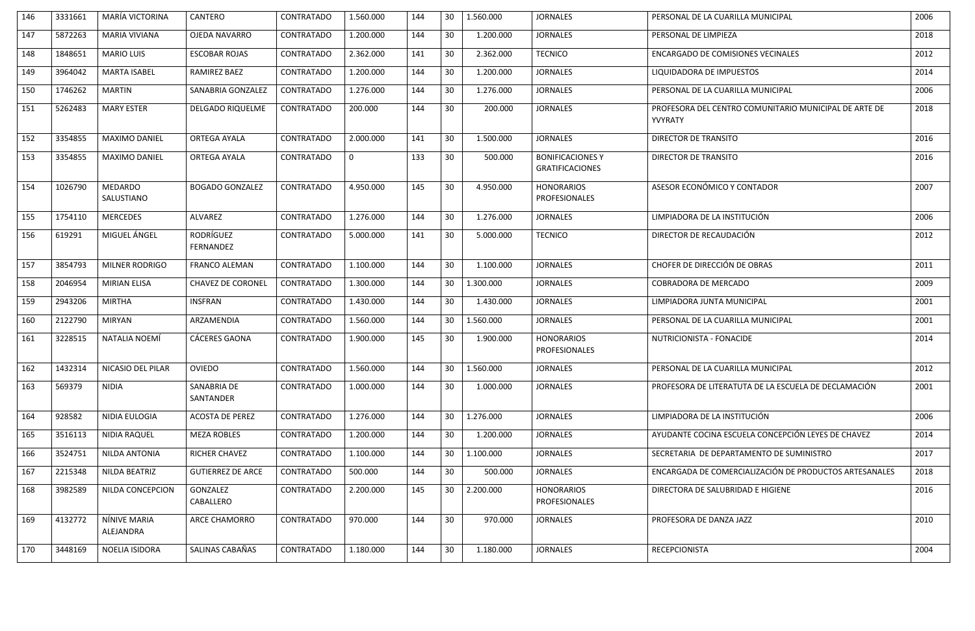| 146 | 3331661 | MARÍA VICTORINA              | CANTERO                              | <b>CONTRATADO</b> | 1.560.000   | 144 | 30              | 1.560.000 | <b>JORNALES</b>                                   | PERSONAL DE LA CUARILLA MUNICIPAL                                | 2006 |
|-----|---------|------------------------------|--------------------------------------|-------------------|-------------|-----|-----------------|-----------|---------------------------------------------------|------------------------------------------------------------------|------|
| 147 | 5872263 | <b>MARIA VIVIANA</b>         | OJEDA NAVARRO                        | CONTRATADO        | 1.200.000   | 144 | 30              | 1.200.000 | <b>JORNALES</b>                                   | PERSONAL DE LIMPIEZA                                             | 2018 |
| 148 | 1848651 | <b>MARIO LUIS</b>            | <b>ESCOBAR ROJAS</b>                 | <b>CONTRATADO</b> | 2.362.000   | 141 | 30              | 2.362.000 | <b>TECNICO</b>                                    | <b>ENCARGADO DE COMISIONES VECINALES</b>                         | 2012 |
| 149 | 3964042 | <b>MARTA ISABEL</b>          | RAMIREZ BAEZ                         | <b>CONTRATADO</b> | 1.200.000   | 144 | 30              | 1.200.000 | <b>JORNALES</b>                                   | LIQUIDADORA DE IMPUESTOS                                         | 2014 |
| 150 | 1746262 | <b>MARTIN</b>                | SANABRIA GONZALEZ                    | <b>CONTRATADO</b> | 1.276.000   | 144 | 30              | 1.276.000 | <b>JORNALES</b>                                   | PERSONAL DE LA CUARILLA MUNICIPAL                                | 2006 |
| 151 | 5262483 | <b>MARY ESTER</b>            | <b>DELGADO RIQUELME</b>              | <b>CONTRATADO</b> | 200.000     | 144 | 30              | 200.000   | <b>JORNALES</b>                                   | PROFESORA DEL CENTRO COMUNITARIO MUNICIPAL DE ARTE DE<br>YVYRATY | 2018 |
| 152 | 3354855 | <b>MAXIMO DANIEL</b>         | ORTEGA AYALA                         | <b>CONTRATADO</b> | 2.000.000   | 141 | 30              | 1.500.000 | <b>JORNALES</b>                                   | DIRECTOR DE TRANSITO                                             | 2016 |
| 153 | 3354855 | <b>MAXIMO DANIEL</b>         | ORTEGA AYALA                         | CONTRATADO        | $\mathbf 0$ | 133 | 30 <sup>°</sup> | 500.000   | <b>BONIFICACIONES Y</b><br><b>GRATIFICACIONES</b> | DIRECTOR DE TRANSITO                                             | 2016 |
| 154 | 1026790 | <b>MEDARDO</b><br>SALUSTIANO | <b>BOGADO GONZALEZ</b>               | <b>CONTRATADO</b> | 4.950.000   | 145 | 30              | 4.950.000 | <b>HONORARIOS</b><br><b>PROFESIONALES</b>         | ASESOR ECONÓMICO Y CONTADOR                                      | 2007 |
| 155 | 1754110 | <b>MERCEDES</b>              | <b>ALVAREZ</b>                       | CONTRATADO        | 1.276.000   | 144 | 30              | 1.276.000 | <b>JORNALES</b>                                   | LIMPIADORA DE LA INSTITUCIÓN                                     | 2006 |
| 156 | 619291  | MIGUEL ÁNGEL                 | <b>RODRÍGUEZ</b><br><b>FERNANDEZ</b> | <b>CONTRATADO</b> | 5.000.000   | 141 | 30              | 5.000.000 | <b>TECNICO</b>                                    | DIRECTOR DE RECAUDACIÓN                                          | 2012 |
| 157 | 3854793 | <b>MILNER RODRIGO</b>        | <b>FRANCO ALEMAN</b>                 | <b>CONTRATADO</b> | 1.100.000   | 144 | 30              | 1.100.000 | <b>JORNALES</b>                                   | CHOFER DE DIRECCIÓN DE OBRAS                                     | 2011 |
| 158 | 2046954 | <b>MIRIAN ELISA</b>          | <b>CHAVEZ DE CORONEL</b>             | CONTRATADO        | 1.300.000   | 144 | 30              | 1.300.000 | <b>JORNALES</b>                                   | <b>COBRADORA DE MERCADO</b>                                      | 2009 |
| 159 | 2943206 | <b>MIRTHA</b>                | <b>INSFRAN</b>                       | <b>CONTRATADO</b> | 1.430.000   | 144 | 30              | 1.430.000 | <b>JORNALES</b>                                   | LIMPIADORA JUNTA MUNICIPAL                                       | 2001 |
| 160 | 2122790 | <b>MIRYAN</b>                | ARZAMENDIA                           | <b>CONTRATADO</b> | 1.560.000   | 144 | 30              | 1.560.000 | <b>JORNALES</b>                                   | PERSONAL DE LA CUARILLA MUNICIPAL                                | 2001 |
| 161 | 3228515 | NATALIA NOEMÍ                | CÁCERES GAONA                        | <b>CONTRATADO</b> | 1.900.000   | 145 | 30              | 1.900.000 | <b>HONORARIOS</b><br><b>PROFESIONALES</b>         | NUTRICIONISTA - FONACIDE                                         | 2014 |
| 162 | 1432314 | NICASIO DEL PILAR            | <b>OVIEDO</b>                        | CONTRATADO        | 1.560.000   | 144 | 30              | 1.560.000 | <b>JORNALES</b>                                   | PERSONAL DE LA CUARILLA MUNICIPAL                                | 2012 |
| 163 | 569379  | NIDIA                        | SANABRIA DE<br>SANTANDER             | CONTRATADO        | 1.000.000   | 144 | 30              | 1.000.000 | <b>JORNALES</b>                                   | PROFESORA DE LITERATUTA DE LA ESCUELA DE DECLAMACIÓN             | 2001 |
| 164 | 928582  | NIDIA EULOGIA                | <b>ACOSTA DE PEREZ</b>               | <b>CONTRATADO</b> | 1.276.000   | 144 | 30              | 1.276.000 | <b>JORNALES</b>                                   | LIMPIADORA DE LA INSTITUCIÓN                                     | 2006 |
| 165 | 3516113 | NIDIA RAQUEL                 | <b>MEZA ROBLES</b>                   | <b>CONTRATADO</b> | 1.200.000   | 144 | 30              | 1.200.000 | <b>JORNALES</b>                                   | AYUDANTE COCINA ESCUELA CONCEPCIÓN LEYES DE CHAVEZ               | 2014 |
| 166 | 3524751 | NILDA ANTONIA                | <b>RICHER CHAVEZ</b>                 | <b>CONTRATADO</b> | 1.100.000   | 144 | 30              | 1.100.000 | <b>JORNALES</b>                                   | SECRETARIA DE DEPARTAMENTO DE SUMINISTRO                         | 2017 |
| 167 | 2215348 | NILDA BEATRIZ                | <b>GUTIERREZ DE ARCE</b>             | <b>CONTRATADO</b> | 500.000     | 144 | 30              | 500.000   | <b>JORNALES</b>                                   | ENCARGADA DE COMERCIALIZACIÓN DE PRODUCTOS ARTESANALES           | 2018 |
| 168 | 3982589 | NILDA CONCEPCION             | GONZALEZ<br>CABALLERO                | CONTRATADO        | 2.200.000   | 145 | 30              | 2.200.000 | <b>HONORARIOS</b><br><b>PROFESIONALES</b>         | DIRECTORA DE SALUBRIDAD E HIGIENE                                | 2016 |
| 169 | 4132772 | NÍNIVE MARIA<br>ALEJANDRA    | ARCE CHAMORRO                        | <b>CONTRATADO</b> | 970.000     | 144 | 30              | 970.000   | <b>JORNALES</b>                                   | PROFESORA DE DANZA JAZZ                                          | 2010 |
| 170 | 3448169 | NOELIA ISIDORA               | SALINAS CABAÑAS                      | <b>CONTRATADO</b> | 1.180.000   | 144 | 30              | 1.180.000 | <b>JORNALES</b>                                   | <b>RECEPCIONISTA</b>                                             | 2004 |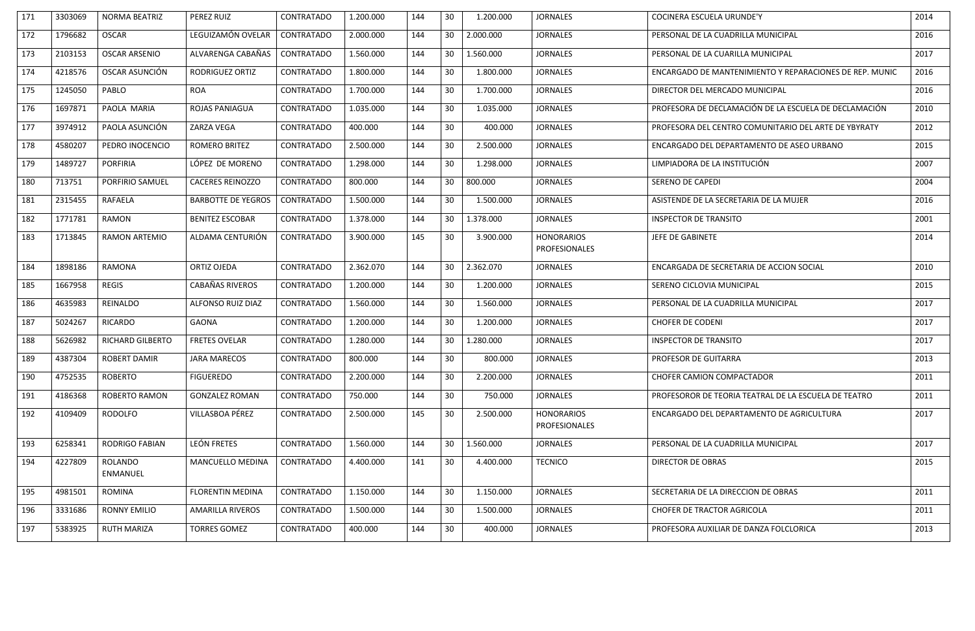| 171 | 3303069 | <b>NORMA BEATRIZ</b>    | PEREZ RUIZ                | <b>CONTRATADO</b> | 1.200.000 | 144 | 30              | 1.200.000 | <b>JORNALES</b>                           | COCINERA ESCUELA URUNDE'Y                               | 2014 |
|-----|---------|-------------------------|---------------------------|-------------------|-----------|-----|-----------------|-----------|-------------------------------------------|---------------------------------------------------------|------|
| 172 | 1796682 | <b>OSCAR</b>            | LEGUIZAMÓN OVELAR         | CONTRATADO        | 2.000.000 | 144 | 30              | 2.000.000 | <b>JORNALES</b>                           | PERSONAL DE LA CUADRILLA MUNICIPAL                      | 2016 |
| 173 | 2103153 | <b>OSCAR ARSENIO</b>    | ALVARENGA CABAÑAS         | <b>CONTRATADO</b> | 1.560.000 | 144 | 30              | 1.560.000 | <b>JORNALES</b>                           | PERSONAL DE LA CUARILLA MUNICIPAL                       | 2017 |
| 174 | 4218576 | OSCAR ASUNCIÓN          | RODRIGUEZ ORTIZ           | <b>CONTRATADO</b> | 1.800.000 | 144 | 30              | 1.800.000 | <b>JORNALES</b>                           | ENCARGADO DE MANTENIMIENTO Y REPARACIONES DE REP. MUNIC | 2016 |
| 175 | 1245050 | PABLO                   | <b>ROA</b>                | <b>CONTRATADO</b> | 1.700.000 | 144 | 30              | 1.700.000 | <b>JORNALES</b>                           | DIRECTOR DEL MERCADO MUNICIPAL                          | 2016 |
| 176 | 1697871 | PAOLA MARIA             | ROJAS PANIAGUA            | <b>CONTRATADO</b> | 1.035.000 | 144 | 30              | 1.035.000 | <b>JORNALES</b>                           | PROFESORA DE DECLAMACIÓN DE LA ESCUELA DE DECLAMACIÓN   | 2010 |
| 177 | 3974912 | PAOLA ASUNCIÓN          | ZARZA VEGA                | <b>CONTRATADO</b> | 400.000   | 144 | 30              | 400.000   | <b>JORNALES</b>                           | PROFESORA DEL CENTRO COMUNITARIO DEL ARTE DE YBYRATY    | 2012 |
| 178 | 4580207 | PEDRO INOCENCIO         | ROMERO BRITEZ             | <b>CONTRATADO</b> | 2.500.000 | 144 | 30              | 2.500.000 | <b>JORNALES</b>                           | ENCARGADO DEL DEPARTAMENTO DE ASEO URBANO               | 2015 |
| 179 | 1489727 | <b>PORFIRIA</b>         | LÓPEZ DE MORENO           | <b>CONTRATADO</b> | 1.298.000 | 144 | 30              | 1.298.000 | <b>JORNALES</b>                           | LIMPIADORA DE LA INSTITUCIÓN                            | 2007 |
| 180 | 713751  | PORFIRIO SAMUEL         | <b>CACERES REINOZZO</b>   | <b>CONTRATADO</b> | 800.000   | 144 | 30              | 800.000   | <b>JORNALES</b>                           | <b>SERENO DE CAPEDI</b>                                 | 2004 |
| 181 | 2315455 | RAFAELA                 | <b>BARBOTTE DE YEGROS</b> | <b>CONTRATADO</b> | 1.500.000 | 144 | 30              | 1.500.000 | <b>JORNALES</b>                           | ASISTENDE DE LA SECRETARIA DE LA MUJER                  | 2016 |
| 182 | 1771781 | <b>RAMON</b>            | <b>BENITEZ ESCOBAR</b>    | <b>CONTRATADO</b> | 1.378.000 | 144 | 30              | 1.378.000 | <b>JORNALES</b>                           | <b>INSPECTOR DE TRANSITO</b>                            | 2001 |
| 183 | 1713845 | <b>RAMON ARTEMIO</b>    | ALDAMA CENTURIÓN          | CONTRATADO        | 3.900.000 | 145 | 30              | 3.900.000 | <b>HONORARIOS</b><br><b>PROFESIONALES</b> | JEFE DE GABINETE                                        | 2014 |
| 184 | 1898186 | <b>RAMONA</b>           | ORTIZ OJEDA               | <b>CONTRATADO</b> | 2.362.070 | 144 | 30              | 2.362.070 | <b>JORNALES</b>                           | ENCARGADA DE SECRETARIA DE ACCION SOCIAL                | 2010 |
| 185 | 1667958 | <b>REGIS</b>            | CABAÑAS RIVEROS           | <b>CONTRATADO</b> | 1.200.000 | 144 | 30              | 1.200.000 | <b>JORNALES</b>                           | SERENO CICLOVIA MUNICIPAL                               | 2015 |
| 186 | 4635983 | REINALDO                | ALFONSO RUIZ DIAZ         | CONTRATADO        | 1.560.000 | 144 | 30              | 1.560.000 | <b>JORNALES</b>                           | PERSONAL DE LA CUADRILLA MUNICIPAL                      | 2017 |
| 187 | 5024267 | <b>RICARDO</b>          | <b>GAONA</b>              | CONTRATADO        | 1.200.000 | 144 | 30              | 1.200.000 | <b>JORNALES</b>                           | <b>CHOFER DE CODENI</b>                                 | 2017 |
| 188 | 5626982 | <b>RICHARD GILBERTO</b> | <b>FRETES OVELAR</b>      | <b>CONTRATADO</b> | 1.280.000 | 144 | 30              | 1.280.000 | <b>JORNALES</b>                           | <b>INSPECTOR DE TRANSITO</b>                            | 2017 |
| 189 | 4387304 | <b>ROBERT DAMIR</b>     | <b>JARA MARECOS</b>       | CONTRATADO        | 800.000   | 144 | 30 <sup>°</sup> | 800.000   | <b>JORNALES</b>                           | PROFESOR DE GUITARRA                                    | 2013 |
| 190 | 4752535 | <b>ROBERTO</b>          | <b>FIGUEREDO</b>          | <b>CONTRATADO</b> | 2.200.000 | 144 | 30              | 2.200.000 | <b>JORNALES</b>                           | CHOFER CAMION COMPACTADOR                               | 2011 |
| 191 | 4186368 | ROBERTO RAMON           | <b>GONZALEZ ROMAN</b>     | CONTRATADO        | 750.000   | 144 | 30 <sup>°</sup> | 750.000   | <b>JORNALES</b>                           | PROFESOROR DE TEORIA TEATRAL DE LA ESCUELA DE TEATRO    | 2011 |
| 192 | 4109409 | <b>RODOLFO</b>          | VILLASBOA PÉREZ           | CONTRATADO        | 2.500.000 | 145 | 30              | 2.500.000 | <b>HONORARIOS</b><br><b>PROFESIONALES</b> | ENCARGADO DEL DEPARTAMENTO DE AGRICULTURA               | 2017 |
| 193 | 6258341 | <b>RODRIGO FABIAN</b>   | <b>LEÓN FRETES</b>        | <b>CONTRATADO</b> | 1.560.000 | 144 | 30              | 1.560.000 | <b>JORNALES</b>                           | PERSONAL DE LA CUADRILLA MUNICIPAL                      | 2017 |
| 194 | 4227809 | ROLANDO<br>ENMANUEL     | <b>MANCUELLO MEDINA</b>   | CONTRATADO        | 4.400.000 | 141 | 30              | 4.400.000 | <b>TECNICO</b>                            | <b>DIRECTOR DE OBRAS</b>                                | 2015 |
| 195 | 4981501 | <b>ROMINA</b>           | <b>FLORENTIN MEDINA</b>   | <b>CONTRATADO</b> | 1.150.000 | 144 | 30              | 1.150.000 | <b>JORNALES</b>                           | SECRETARIA DE LA DIRECCION DE OBRAS                     | 2011 |
| 196 | 3331686 | <b>RONNY EMILIO</b>     | <b>AMARILLA RIVEROS</b>   | <b>CONTRATADO</b> | 1.500.000 | 144 | 30              | 1.500.000 | <b>JORNALES</b>                           | <b>CHOFER DE TRACTOR AGRICOLA</b>                       | 2011 |
| 197 | 5383925 | <b>RUTH MARIZA</b>      | <b>TORRES GOMEZ</b>       | CONTRATADO        | 400.000   | 144 | 30              | 400.000   | <b>JORNALES</b>                           | PROFESORA AUXILIAR DE DANZA FOLCLORICA                  | 2013 |
|     |         |                         |                           |                   |           |     |                 |           |                                           |                                                         |      |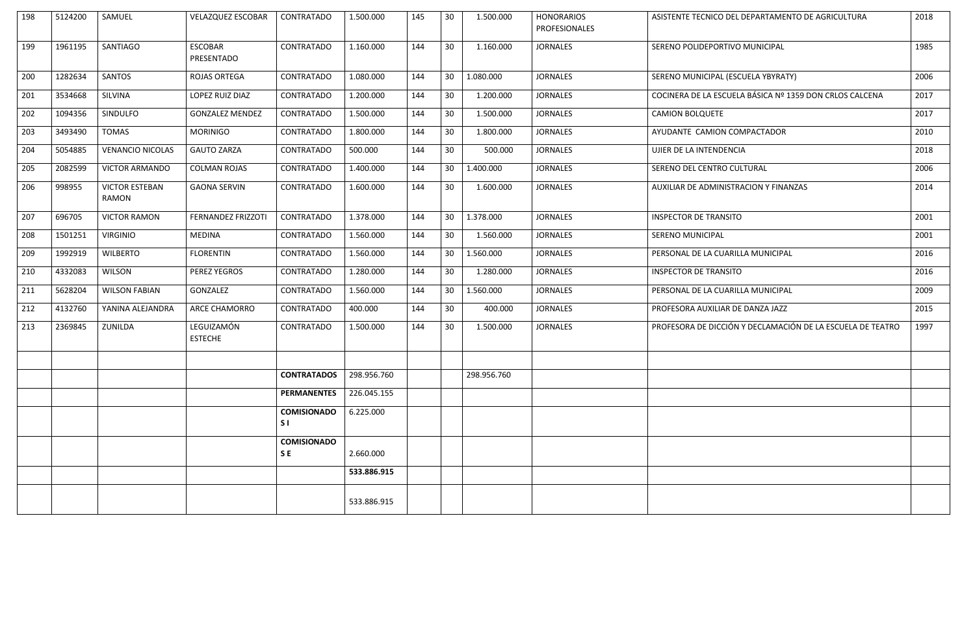| 198 | 5124200 | SAMUEL                                | <b>VELAZQUEZ ESCOBAR</b>     | <b>CONTRATADO</b>               | 1.500.000   | 145 | 30 | 1.500.000   | <b>HONORARIOS</b><br>PROFESIONALES | ASISTENTE TECNICO DEL DEPARTAMENTO DE AGRICULTURA          | 2018 |
|-----|---------|---------------------------------------|------------------------------|---------------------------------|-------------|-----|----|-------------|------------------------------------|------------------------------------------------------------|------|
| 199 | 1961195 | <b>SANTIAGO</b>                       | <b>ESCOBAR</b><br>PRESENTADO | CONTRATADO                      | 1.160.000   | 144 | 30 | 1.160.000   | <b>JORNALES</b>                    | SERENO POLIDEPORTIVO MUNICIPAL                             | 1985 |
| 200 | 1282634 | <b>SANTOS</b>                         | <b>ROJAS ORTEGA</b>          | CONTRATADO                      | 1.080.000   | 144 | 30 | 1.080.000   | <b>JORNALES</b>                    | SERENO MUNICIPAL (ESCUELA YBYRATY)                         | 2006 |
| 201 | 3534668 | <b>SILVINA</b>                        | LOPEZ RUIZ DIAZ              | <b>CONTRATADO</b>               | 1.200.000   | 144 | 30 | 1.200.000   | <b>JORNALES</b>                    | COCINERA DE LA ESCUELA BÁSICA Nº 1359 DON CRLOS CALCENA    | 2017 |
| 202 | 1094356 | <b>SINDULFO</b>                       | <b>GONZALEZ MENDEZ</b>       | CONTRATADO                      | 1.500.000   | 144 | 30 | 1.500.000   | <b>JORNALES</b>                    | <b>CAMION BOLQUETE</b>                                     | 2017 |
| 203 | 3493490 | <b>TOMAS</b>                          | <b>MORINIGO</b>              | CONTRATADO                      | 1.800.000   | 144 | 30 | 1.800.000   | <b>JORNALES</b>                    | AYUDANTE CAMION COMPACTADOR                                | 2010 |
| 204 | 5054885 | <b>VENANCIO NICOLAS</b>               | <b>GAUTO ZARZA</b>           | CONTRATADO                      | 500.000     | 144 | 30 | 500.000     | <b>JORNALES</b>                    | UJIER DE LA INTENDENCIA                                    | 2018 |
| 205 | 2082599 | <b>VICTOR ARMANDO</b>                 | <b>COLMAN ROJAS</b>          | <b>CONTRATADO</b>               | 1.400.000   | 144 | 30 | 1.400.000   | <b>JORNALES</b>                    | SERENO DEL CENTRO CULTURAL                                 | 2006 |
| 206 | 998955  | <b>VICTOR ESTEBAN</b><br><b>RAMON</b> | <b>GAONA SERVIN</b>          | CONTRATADO                      | 1.600.000   | 144 | 30 | 1.600.000   | <b>JORNALES</b>                    | AUXILIAR DE ADMINISTRACION Y FINANZAS                      | 2014 |
| 207 | 696705  | <b>VICTOR RAMON</b>                   | <b>FERNANDEZ FRIZZOTI</b>    | CONTRATADO                      | 1.378.000   | 144 | 30 | 1.378.000   | <b>JORNALES</b>                    | <b>INSPECTOR DE TRANSITO</b>                               | 2001 |
| 208 | 1501251 | <b>VIRGINIO</b>                       | <b>MEDINA</b>                | <b>CONTRATADO</b>               | 1.560.000   | 144 | 30 | 1.560.000   | <b>JORNALES</b>                    | <b>SERENO MUNICIPAL</b>                                    | 2001 |
| 209 | 1992919 | <b>WILBERTO</b>                       | <b>FLORENTIN</b>             | CONTRATADO                      | 1.560.000   | 144 | 30 | 1.560.000   | <b>JORNALES</b>                    | PERSONAL DE LA CUARILLA MUNICIPAL                          | 2016 |
| 210 | 4332083 | <b>WILSON</b>                         | PEREZ YEGROS                 | CONTRATADO                      | 1.280.000   | 144 | 30 | 1.280.000   | <b>JORNALES</b>                    | <b>INSPECTOR DE TRANSITO</b>                               | 2016 |
| 211 | 5628204 | <b>WILSON FABIAN</b>                  | GONZALEZ                     | CONTRATADO                      | 1.560.000   | 144 | 30 | 1.560.000   | <b>JORNALES</b>                    | PERSONAL DE LA CUARILLA MUNICIPAL                          | 2009 |
| 212 | 4132760 | YANINA ALEJANDRA                      | <b>ARCE CHAMORRO</b>         | CONTRATADO                      | 400.000     | 144 | 30 | 400.000     | <b>JORNALES</b>                    | PROFESORA AUXILIAR DE DANZA JAZZ                           | 2015 |
| 213 | 2369845 | ZUNILDA                               | LEGUIZAMÓN<br><b>ESTECHE</b> | <b>CONTRATADO</b>               | 1.500.000   | 144 | 30 | 1.500.000   | <b>JORNALES</b>                    | PROFESORA DE DICCIÓN Y DECLAMACIÓN DE LA ESCUELA DE TEATRO | 1997 |
|     |         |                                       |                              |                                 |             |     |    |             |                                    |                                                            |      |
|     |         |                                       |                              | <b>CONTRATADOS</b>              | 298.956.760 |     |    | 298.956.760 |                                    |                                                            |      |
|     |         |                                       |                              | <b>PERMANENTES</b>              | 226.045.155 |     |    |             |                                    |                                                            |      |
|     |         |                                       |                              | <b>COMISIONADO</b><br>S1        | 6.225.000   |     |    |             |                                    |                                                            |      |
|     |         |                                       |                              | <b>COMISIONADO</b><br><b>SE</b> | 2.660.000   |     |    |             |                                    |                                                            |      |
|     |         |                                       |                              |                                 | 533.886.915 |     |    |             |                                    |                                                            |      |
|     |         |                                       |                              |                                 | 533.886.915 |     |    |             |                                    |                                                            |      |